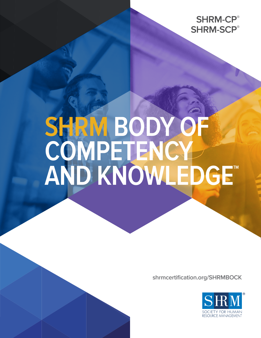**SHRM-CP® SHRM-SCP®**

# **SHRM BODY OF COMPETENCY AND KNOWLEDGE™**

**shrmcertification.org/SHRMBOCK**

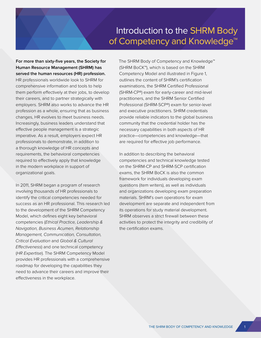### Introduction to the SHRM Body of Competency and Knowledge<sup>™</sup>

#### **For more than sixty-five years, the Society for Human Resource Management (SHRM) has served the human resources (HR) profession.**

HR professionals worldwide look to SHRM for comprehensive information and tools to help them perform effectively at their jobs, to develop their careers, and to partner strategically with employers. SHRM also works to advance the HR profession as a whole, ensuring that as business changes, HR evolves to meet business needs. Increasingly, business leaders understand that effective people management is a strategic imperative. As a result, employers expect HR professionals to demonstrate, in addition to a thorough knowledge of HR concepts and requirements, the behavioral competencies required to effectively apply that knowledge in the modern workplace in support of organizational goals.

In 2011, SHRM began a program of research involving thousands of HR professionals to identify the critical competencies needed for success as an HR professional. This research led to the development of the SHRM Competency Model, which defines eight key behavioral competencies (*Ethical Practice, Leadership & Navigation, Business Acumen, Relationship Management, Communication, Consultation, Critical Evaluation* and *Global & Cultural Effectiveness*) and one technical competency (*HR Expertise*). The SHRM Competency Model provides HR professionals with a comprehensive roadmap for developing the capabilities they need to advance their careers and improve their effectiveness in the workplace.

The SHRM Body of Competency and Knowledge™ (SHRM BoCK™), which is based on the SHRM Competency Model and illustrated in Figure 1, outlines the content of SHRM's certification examinations, the SHRM Certified Professional (SHRM-CP®) exam for early-career and mid-level practitioners, and the SHRM Senior Certified Professional (SHRM-SCP®) exam for senior-level and executive practitioners. SHRM credentials provide reliable indicators to the global business community that the credential holder has the necessary capabilities in both aspects of HR practice—competencies and knowledge—that are required for effective job performance.

In addition to describing the behavioral competencies and technical knowledge tested on the SHRM-CP and SHRM-SCP certification exams, the SHRM BoCK is also the common framework for individuals developing exam questions (item writers), as well as individuals and organizations developing exam preparation materials. SHRM's own operations for exam development are separate and independent from its operations for study material development. SHRM observes a strict firewall between these activities to protect the integrity and credibility of the certification exams.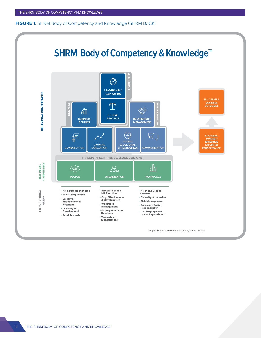#### **THE SHRM BODY OF COMPETENCY AND KNOWLEDGE** THE SHRM BODY OF COMPETENCY AND KNOWLEDGE

#### **FIGURE 1:** SHRM Body of Competency and Knowledge (SHRM BoCK)

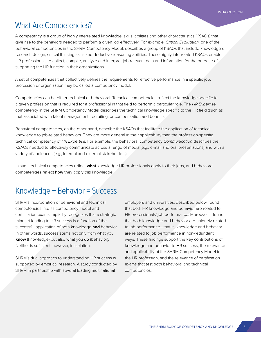### What Are Competencies?

A competency is a group of highly interrelated knowledge, skills, abilities and other characteristics (KSAOs) that give rise to the behaviors needed to perform a given job effectively. For example, *Critical Evaluation,* one of the behavioral competencies in the SHRM Competency Model, describes a group of KSAOs that include knowledge of research design, critical thinking skills and deductive reasoning abilities. These highly interrelated KSAOs enable HR professionals to collect, compile, analyze and interpret job-relevant data and information for the purpose of supporting the HR function in their organizations.

A set of competencies that collectively defines the requirements for effective performance in a specific job, profession or organization may be called a competency model.

Competencies can be either technical or behavioral. Technical competencies reflect the knowledge specific to a given profession that is required for a professional in that field to perform a particular role. The *HR Expertise* competency in the SHRM Competency Model describes the technical knowledge specific to the HR field (such as that associated with talent management, recruiting, or compensation and benefits).

Behavioral competencies, on the other hand, describe the KSAOs that facilitate the application of technical knowledge to job-related behaviors. They are more general in their applicability than the profession-specific technical competency of *HR Expertise.* For example, the behavioral competency *Communication* describes the KSAOs needed to effectively communicate across a range of media (e.g., e-mail and oral presentations) and with a variety of audiences (e.g., internal and external stakeholders).

In sum, technical competencies reflect **what** knowledge HR professionals apply to their jobs, and behavioral competencies reflect **how** they apply this knowledge.

### Knowledge + Behavior = Success

SHRM's incorporation of behavioral and technical competencies into its competency model and certification exams implicitly recognizes that a strategic mindset leading to HR success is a function of the successful application of both knowledge **and** behavior. In other words, success stems not only from what you **know** (knowledge) but also what you **do** (behavior). Neither is sufficient, however, in isolation.

SHRM's dual approach to understanding HR success is supported by empirical research. A study conducted by SHRM in partnership with several leading multinational

employers and universities, described below, found that both HR knowledge and behavior are related to HR professionals' job performance. Moreover, it found that both knowledge and behavior are uniquely related to job performance—that is, knowledge and behavior are related to job performance in non-redundant ways. These findings support the key contributions of knowledge and behavior to HR success, the relevance and applicability of the SHRM Competency Model to the HR profession, and the relevance of certification exams that test both behavioral and technical competencies.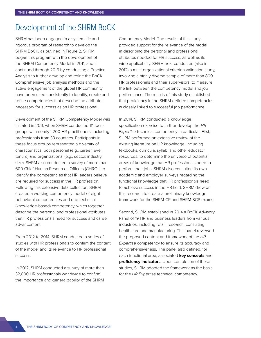### Development of the SHRM BoCK

SHRM has been engaged in a systematic and rigorous program of research to develop the SHRM BoCK, as outlined in Figure 2. SHRM began this program with the development of the SHRM Competency Model in 2011, and it continued through 2016 by conducting a Practice Analysis to further develop and refine the BoCK. Comprehensive job analysis methods and the active engagement of the global HR community have been used consistently to identify, create and refine competencies that describe the attributes necessary for success as an HR professional.

Development of the SHRM Competency Model was initiated in 2011, when SHRM conducted 111 focus groups with nearly 1,200 HR practitioners, including professionals from 33 countries. Participants in these focus groups represented a diversity of characteristics, both personal (e.g., career level, tenure) and organizational (e.g., sector, industry, size). SHRM also conducted a survey of more than 600 Chief Human Resources Officers (CHROs) to identify the competencies that HR leaders believe are required for success in the HR profession. Following this extensive data collection, SHRM created a working competency model of eight behavioral competencies and one technical (knowledge-based) competency, which together describe the personal and professional attributes that HR professionals need for success and career advancement.

From 2012 to 2014, SHRM conducted a series of studies with HR professionals to confirm the content of the model and its relevance to HR professional success.

In 2012, SHRM conducted a survey of more than 32,000 HR professionals worldwide to confirm the importance and generalizability of the SHRM

Competency Model. The results of this study provided support for the relevance of the model in describing the personal and professional attributes needed for HR success, as well as its wide applicability. SHRM next conducted (also in 2012) a multi-organizational criterion validation study, involving a highly diverse sample of more than 800 HR professionals and their supervisors, to measure the link between the competency model and job performance. The results of this study established that proficiency in the SHRM-defined competencies is closely linked to successful job performance.

In 2014, SHRM conducted a knowledge specification exercise to further develop the *HR Expertise* technical competency in particular. First, SHRM performed an extensive review of the existing literature on HR knowledge, including textbooks, curricula, syllabi and other educator resources, to determine the universe of potential areas of knowledge that HR professionals need to perform their jobs. SHRM also consulted its own academic and employer surveys regarding the functional knowledge that HR professionals need to achieve success in the HR field. SHRM drew on this research to create a preliminary knowledge framework for the SHRM-CP and SHRM-SCP exams.

Second, SHRM established in 2014 a BoCK Advisory Panel of 19 HR and business leaders from various industries, including retail, research, consulting, health care and manufacturing. This panel reviewed the proposed content and framework of the *HR Expertise* competency to ensure its accuracy and comprehensiveness. The panel also defined, for each functional area, associated **key concepts** and **proficiency indicators**. Upon completion of these studies, SHRM adopted the framework as the basis for the *HR Expertise* technical competency.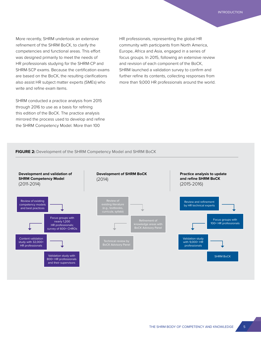More recently, SHRM undertook an extensive refinement of the SHRM BoCK, to clarify the competencies and functional areas. This effort was designed primarily to meet the needs of HR professionals studying for the SHRM-CP and SHRM-SCP exams. Because the certification exams are based on the BoCK, the resulting clarifications also assist HR subject matter experts (SMEs) who write and refine exam items.

SHRM conducted a practice analysis from 2015 through 2016 to use as a basis for refining this edition of the BoCK. The practice analysis mirrored the process used to develop and refine the SHRM Competency Model. More than 100

HR professionals, representing the global HR community with participants from North America, Europe, Africa and Asia, engaged in a series of focus groups. In 2015, following an extensive review and revision of each component of the BoCK, SHRM launched a validation survey to confirm and further refine its contents, collecting responses from more than 9,000 HR professionals around the world.

#### **FIGURE 2:** Development of the SHRM Competency Model and SHRM BoCK

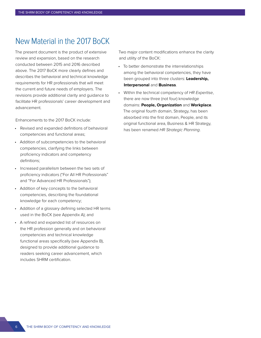### New Material in the 2017 BoCK

The present document is the product of extensive review and expansion, based on the research conducted between 2015 and 2016 described above. The 2017 BoCK more clearly defines and describes the behavioral and technical knowledge requirements for HR professionals that will meet the current and future needs of employers. The revisions provide additional clarity and guidance to facilitate HR professionals' career development and advancement.

Enhancements to the 2017 BoCK include:

- Revised and expanded definitions of behavioral competencies and functional areas;
- Addition of subcompetencies to the behavioral competencies, clarifying the links between proficiency indicators and competency definitions;
- Increased parallelism between the two sets of proficiency indicators ("For All HR Professionals" and "For Advanced HR Professionals");
- Addition of key concepts to the behavioral competencies, describing the foundational knowledge for each competency;
- Addition of a glossary defining selected HR terms used in the BoCK (see Appendix A); and
- A refined and expanded list of resources on the HR profession generally and on behavioral competencies and technical knowledge functional areas specifically (see Appendix B), designed to provide additional guidance to readers seeking career advancement, which includes SHRM certification.

Two major content modifications enhance the clarity and utility of the BoCK:

- To better demonstrate the interrelationships among the behavioral competencies, they have been grouped into three clusters: **Leadership, Interpersonal** and **Business**.
- Within the technical competency of *HR Expertise*, there are now three (not four) knowledge domains: **People, Organization** and **Workplace**. The original fourth domain, Strategy, has been absorbed into the first domain, People, and its original functional area, Business & HR Strategy, has been renamed *HR Strategic Planning*.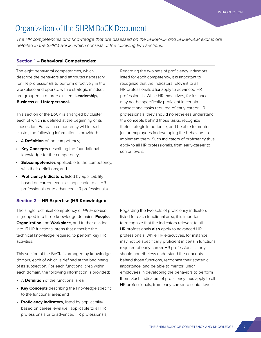### Organization of the SHRM BoCK Document

*The HR competencies and knowledge that are assessed on the SHRM-CP and SHRM-SCP exams are detailed in the SHRM BoCK, which consists of the following two sections:*

#### **Section 1 – Behavioral Competencies:**

The eight behavioral competencies, which describe the behaviors and attributes necessary for HR professionals to perform effectively in the workplace and operate with a strategic mindset, are grouped into three clusters: **Leadership, Business** and **Interpersonal.**

This section of the BoCK is arranged by cluster, each of which is defined at the beginning of its subsection. For each competency within each cluster, the following information is provided:

- A **Definition** of the competency;
- **Key Concepts** describing the foundational knowledge for the competency;
- **Subcompetencies** applicable to the competency, with their definitions; and
- **Proficiency Indicators,** listed by applicability based on career level (i.e., applicable to all HR professionals or to advanced HR professionals).

Regarding the two sets of proficiency indicators listed for each competency, it is important to recognize that the indicators relevant to all HR professionals **also** apply to advanced HR professionals. While HR executives, for instance, may not be specifically proficient in certain transactional tasks required of early-career HR professionals, they should nonetheless understand the concepts behind those tasks, recognize their strategic importance, and be able to mentor junior employees in developing the behaviors to implement them. Such indicators of proficiency thus apply to all HR professionals, from early-career to senior levels.

#### **Section 2 – HR Expertise (HR Knowledge):**

The single technical competency of *HR Expertise* is grouped into three knowledge domains: **People, Organization** and **Workplace**, and further divided into 15 HR functional areas that describe the technical knowledge required to perform key HR activities.

This section of the BoCK is arranged by knowledge domain, each of which is defined at the beginning of its subsection. For each functional area within each domain, the following information is provided:

- A **Definition** of the functional area;
- **Key Concepts** describing the knowledge specific to the functional area; and
- **Proficiency Indicators,** listed by applicability based on career level (i.e., applicable to all HR professionals or to advanced HR professionals).

Regarding the two sets of proficiency indicators listed for each functional area, it is important to recognize that the indicators relevant to all HR professionals **also** apply to advanced HR professionals. While HR executives, for instance, may not be specifically proficient in certain functions required of early-career HR professionals, they should nonetheless understand the concepts behind those functions, recognize their strategic importance, and be able to mentor junior employees in developing the behaviors to perform them. Such indicators of proficiency thus apply to all HR professionals, from early-career to senior levels.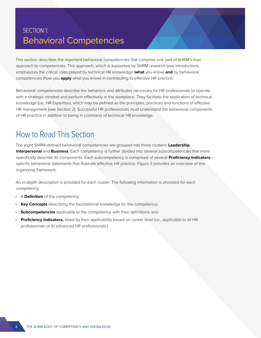### SECTION 1: Behavioral Competencies

This section describes the important behavioral competencies that comprise one part of SHRM's dual approach to competencies. This approach, which is supported by SHRM research (see Introduction), emphasizes the critical roles played by technical HR knowledge (**what** you know) **and** by behavioral competencies (how you **apply** what you know) in contributing to effective HR practice.

Behavioral competencies describe the behaviors and attributes necessary for HR professionals to operate with a strategic mindset and perform effectively in the workplace. They facilitate the application of technical knowledge (i.e., *HR Expertise*), which may be defined as the principles, practices and functions of effective HR management (see Section 2). Successful HR professionals must understand the behavioral components of HR practice in addition to being in command of technical HR knowledge.

### How to Read This Section

The eight SHRM-defined behavioral competencies are grouped into three clusters: **Leadership**, **Interpersonal** and **Business**. Each competency is further divided into several subcompetencies that more specifically describe its components. Each subcompetency is comprised of several **Proficiency Indicators** specific behavioral statements that illustrate effective HR practice. Figure 3 provides an overview of this organizing framework.

An in-depth description is provided for each cluster. The following information is provided for each competency:

- A **Definition** of the competency;
- **Key Concepts** describing the foundational knowledge for the competency;
- **Subcompetencies** applicable to the competency, with their definitions; and
- **Proficiency Indicators,** listed by their applicability based on career level (i.e., applicable to all HR professionals or to advanced HR professionals.)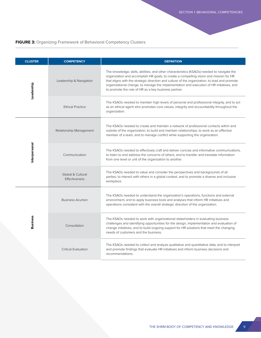#### **FIGURE 3:** Organizing Framework of Behavioral Competency Clusters

| <b>CLUSTER</b> | <b>COMPETENCY</b>                  | <b>DEFINITION</b>                                                                                                                                                                                                                                                                                                                                                                                                                         |
|----------------|------------------------------------|-------------------------------------------------------------------------------------------------------------------------------------------------------------------------------------------------------------------------------------------------------------------------------------------------------------------------------------------------------------------------------------------------------------------------------------------|
| Leadership     | Leadership & Navigation            | The knowledge, skills, abilities, and other characteristics (KSAOs) needed to navigate the<br>organization and accomplish HR goals, to create a compelling vision and mission for HR<br>that aligns with the strategic direction and culture of the organization, to lead and promote<br>organizational change, to manage the implementation and execution of HR initiatives, and<br>to promote the role of HR as a key business partner. |
|                | <b>Ethical Practice</b>            | The KSAOs needed to maintain high levels of personal and professional integrity, and to act<br>as an ethical agent who promotes core values, integrity and accountability throughout the<br>organization.                                                                                                                                                                                                                                 |
|                | Relationship Management            | The KSAOs needed to create and maintain a network of professional contacts within and<br>outside of the organization, to build and maintain relationships, to work as an effective<br>member of a team, and to manage conflict while supporting the organization.                                                                                                                                                                         |
| Interpersonal  | Communication                      | The KSAOs needed to effectively craft and deliver concise and informative communications,<br>to listen to and address the concerns of others, and to transfer and translate information<br>from one level or unit of the organization to another.                                                                                                                                                                                         |
|                | Global & Cultural<br>Effectiveness | The KSAOs needed to value and consider the perspectives and backgrounds of all<br>parties, to interact with others in a global context, and to promote a diverse and inclusive<br>workplace.                                                                                                                                                                                                                                              |
| Business       | <b>Business Acumen</b>             | The KSAOs needed to understand the organization's operations, functions and external<br>environment, and to apply business tools and analyses that inform HR initiatives and<br>operations consistent with the overall strategic direction of the organization.                                                                                                                                                                           |
|                | Consultation                       | The KSAOs needed to work with organizational stakeholders in evaluating business<br>challenges and identifying opportunities for the design, implementation and evaluation of<br>change initiatives, and to build ongoing support for HR solutions that meet the changing<br>needs of customers and the business.                                                                                                                         |
|                | <b>Critical Evaluation</b>         | The KSAOs needed to collect and analyze qualitative and quantitative data, and to interpret<br>and promote findings that evaluate HR initiatives and inform business decisions and<br>recommendations.                                                                                                                                                                                                                                    |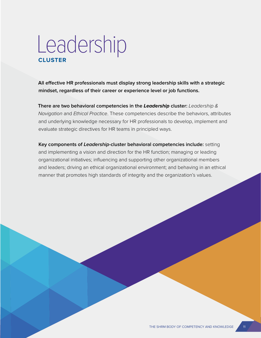# Leadership  **CLUSTER**

**All effective HR professionals must display strong leadership skills with a strategic mindset, regardless of their career or experience level or job functions.** 

**There are two behavioral competencies in the Leadership cluster:** *Leadership & Navigation* and *Ethical Practice*. These competencies describe the behaviors, attributes and underlying knowledge necessary for HR professionals to develop, implement and evaluate strategic directives for HR teams in principled ways.

**Key components of Leadership-cluster behavioral competencies include:** setting and implementing a vision and direction for the HR function; managing or leading organizational initiatives; influencing and supporting other organizational members and leaders; driving an ethical organizational environment; and behaving in an ethical manner that promotes high standards of integrity and the organization's values.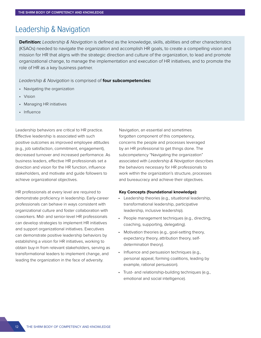### Leadership & Navigation

**Definition:** *Leadership & Navigation* is defined as the knowledge, skills, abilities and other characteristics (KSAOs) needed to navigate the organization and accomplish HR goals, to create a compelling vision and mission for HR that aligns with the strategic direction and culture of the organization, to lead and promote organizational change, to manage the implementation and execution of HR initiatives, and to promote the role of HR as a key business partner.

#### *Leadership & Navigation* is comprised of **four subcompetencies:**

- Navigating the organization
- Vision
- Managing HR initiatives
- Influence

Leadership behaviors are critical to HR practice. Effective leadership is associated with such positive outcomes as improved employee attitudes (e.g., job satisfaction, commitment, engagement), decreased turnover and increased performance. As business leaders, effective HR professionals set a direction and vision for the HR function, influence stakeholders, and motivate and guide followers to achieve organizational objectives.

HR professionals at every level are required to demonstrate proficiency in leadership. Early-career professionals can behave in ways consistent with organizational culture and foster collaboration with coworkers. Mid- and senior-level HR professionals can develop strategies to implement HR initiatives and support organizational initiatives. Executives can demonstrate positive leadership behaviors by establishing a vision for HR initiatives, working to obtain buy-in from relevant stakeholders, serving as transformational leaders to implement change, and leading the organization in the face of adversity.

Navigation, an essential and sometimes forgotten component of this competency, concerns the people and processes leveraged by an HR professional to get things done. The subcompetency "Navigating the organization" associated with *Leadership & Navigation* describes the behaviors necessary for HR professionals to work within the organization's structure, processes and bureaucracy and achieve their objectives.

- Leadership theories (e.g., situational leadership, transformational leadership, participative leadership, inclusive leadership).
- People management techniques (e.g., directing, coaching, supporting, delegating).
- Motivation theories (e.g., goal-setting theory, expectancy theory, attribution theory, selfdetermination theory).
- Influence and persuasion techniques (e.g., personal appeal, forming coalitions, leading by example, rational persuasion).
- Trust- and relationship-building techniques (e.g., emotional and social intelligence).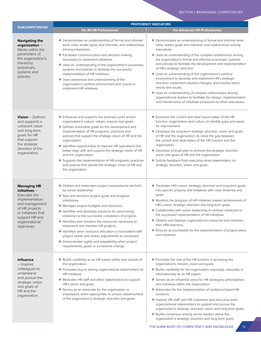|                                                                                                                                                                                     | <b>PROFICIENCY INDICATORS</b>                                                                                                                                                                                                                                                                                                                                                                                                                                                                                                                                                                                                      |                                                                                                                                                                                                                                                                                                                                                                                                                                                                                                                                                                                                                                                                                                                                                                     |
|-------------------------------------------------------------------------------------------------------------------------------------------------------------------------------------|------------------------------------------------------------------------------------------------------------------------------------------------------------------------------------------------------------------------------------------------------------------------------------------------------------------------------------------------------------------------------------------------------------------------------------------------------------------------------------------------------------------------------------------------------------------------------------------------------------------------------------|---------------------------------------------------------------------------------------------------------------------------------------------------------------------------------------------------------------------------------------------------------------------------------------------------------------------------------------------------------------------------------------------------------------------------------------------------------------------------------------------------------------------------------------------------------------------------------------------------------------------------------------------------------------------------------------------------------------------------------------------------------------------|
| <b>SUBCOMPETENCIES</b>                                                                                                                                                              | <b>For All HR Professionals</b>                                                                                                                                                                                                                                                                                                                                                                                                                                                                                                                                                                                                    | <b>For Advanced HR Professionals</b>                                                                                                                                                                                                                                                                                                                                                                                                                                                                                                                                                                                                                                                                                                                                |
| <b>Navigating the</b><br>organization -<br>Works within the<br>parameters of<br>the organization's<br>hierarchy,<br>processes,<br>systems and<br>policies.                          | > Demonstrates an understanding of formal and informal<br>work roles, leader goals and interests, and relationships<br>among employees.<br>> Facilitates communication and decision-making<br>necessary to implement initiatives.<br>> Uses an understanding of the organization's processes,<br>systems and policies to facilitate the successful<br>implementation of HR initiatives.<br>> Uses awareness and understanding of the<br>organization's political environment and culture to<br>implement HR initiatives.                                                                                                           | > Demonstrates an understanding of formal and informal work<br>roles, leader goals and interests, and relationships among<br>executives.<br>> Uses an understanding of the complex relationships among<br>the organization's formal and informal processes, systems<br>and policies to facilitate the development and implementation<br>of HR's strategic direction.<br>> Uses an understanding of the organization's political<br>environment to develop and implement HR's strategic<br>direction, implement needed changes, and resolve talent<br>needs and issues.<br>> Uses an understanding of complex relationships among<br>organizational leaders to facilitate the design, implementation<br>and maintenance of initiatives proposed by other executives. |
| <b>Vision</b> $-$ Defines<br>and supports a<br>coherent vision<br>and long-term<br>goals for HR<br>that support<br>the strategic<br>direction of the<br>organization.               | > Embraces and supports the business unit's and/or<br>organization's culture, values, mission and goals.<br>> Defines actionable goals for the development and<br>implementation of HR programs, practices and<br>policies that support the strategic vision of HR and the<br>organization.<br>> Identifies opportunities to improve HR operations that<br>better align with and support the strategic vision of HR<br>and the organization.<br>> Supports the implementation of HR programs, practices<br>and policies that uphold the strategic vision of HR and<br>the organization.                                            | > Envisions the current and ideal future states of the HR<br>function, organization and culture, to identify gaps and areas<br>for improvement.<br>> Develops the long-term strategic direction, vision and goals<br>of HR and the organization, to close the gap between<br>the current and ideal states of the HR function and the<br>organization.<br>> Develops a broad plan to achieve the strategic direction,<br>vision and goals of HR and the organization.<br>> Solicits feedback from executive-level stakeholders on<br>strategic direction, vision and goals.                                                                                                                                                                                          |
| <b>Managing HR</b><br>initiatives -<br>Executes the<br>implementation<br>and management<br>of HR projects<br>or initiatives that<br>support HR and<br>organizational<br>objectives. | > Defines and elaborates project requirements set forth<br>by senior leadership.<br>> Sets and monitors project goals and progress<br>milestones.<br>> Manages project budgets and resources.<br>> Identifies and develops solutions for overcoming<br>obstacles to the successful completion of projects.<br>> Identifies and monitors the resources necessary to<br>implement and maintain HR projects.<br>> Identifies when resource allocation is inconsistent with<br>project needs and makes adjustments as necessary.<br>> Demonstrates agility and adaptability when project<br>requirements, goals or constraints change. | > Translates HR's vision, strategic direction and long-term goals<br>into specific projects and initiatives with clear timelines and<br>goals.<br>> Monitors the progress of HR initiatives toward achievement of<br>HR's vision, strategic direction and long-term goals.<br>> Collaborates with senior leadership to remove obstacles to<br>the successful implementation of HR initiatives.<br>> Obtains and deploys organizational resources and monitors<br>their effectiveness.<br>> Ensures accountability for the implementation of project plans<br>and initiatives.                                                                                                                                                                                       |
| <b>Influence</b><br>- Inspires<br>colleagues to<br>understand<br>and pursue the<br>strategic vision<br>and goals of<br>HR and the<br>organization.                                  | > Builds credibility as an HR expert within and outside of<br>the organization.<br>> Promotes buy-in among organizational stakeholders for<br>HR initiatives.<br>> Motivates HR staff and other stakeholders to support<br>HR's vision and goals.<br>> Serves as an advocate for the organization or<br>employees, when appropriate, to ensure advancement<br>of the organization's strategic direction and goals.                                                                                                                                                                                                                 | > Promotes the role of the HR function in achieving the<br>organization's mission, vision and goals.<br>> Builds credibility for the organization regionally, nationally or<br>internationally as an HR expert.<br>> Serves as an influential voice for HR strategies, philosophies<br>and initiatives within the organization.<br>>> Advocates for the implementation of evidence-based HR<br>solutions.<br>> Inspires HR staff, non-HR customers and executive-level<br>organizational stakeholders to support and pursue the<br>organization's strategic direction, vision and long-term goals.<br>> Builds consensus among senior leaders about the                                                                                                             |

organization's strategic direction and long-term goals.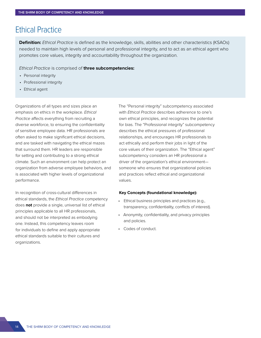### Ethical Practice

**Definition:** *Ethical Practice* is defined as the knowledge, skills, abilities and other characteristics (KSAOs) needed to maintain high levels of personal and professional integrity, and to act as an ethical agent who promotes core values, integrity and accountability throughout the organization.

*Ethical Practice* is comprised of **three subcompetencies:**

- Personal integrity
- Professional integrity
- Ethical agent

Organizations of all types and sizes place an emphasis on ethics in the workplace. *Ethical Practice* affects everything from recruiting a diverse workforce, to ensuring the confidentiality of sensitive employee data. HR professionals are often asked to make significant ethical decisions, and are tasked with navigating the ethical mazes that surround them. HR leaders are responsible for setting and contributing to a strong ethical climate. Such an environment can help protect an organization from adverse employee behaviors, and is associated with higher levels of organizational performance.

In recognition of cross-cultural differences in ethical standards, the *Ethical Practice* competency does **not** provide a single, universal list of ethical principles applicable to all HR professionals, and should not be interpreted as embodying one. Instead, this competency leaves room for individuals to define and apply appropriate ethical standards suitable to their cultures and organizations.

The "Personal integrity" subcompetency associated with *Ethical Practice* describes adherence to one's own ethical principles, and recognizes the potential for bias. The "Professional integrity" subcompetency describes the ethical pressures of professional relationships, and encourages HR professionals to act ethically and perform their jobs in light of the core values of their organization. The "Ethical agent" subcompetency considers an HR professional a driver of the organization's ethical environment someone who ensures that organizational policies and practices reflect ethical and organizational values.

- Ethical business principles and practices (e.g., transparency, confidentiality, conflicts of interest).
- Anonymity, confidentiality, and privacy principles and policies.
- Codes of conduct.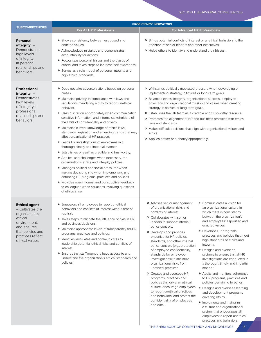|                                                                                                                                                                   | <b>PROFICIENCY INDICATORS</b>                                                                                                                                                                                                                                                                                                                                                                                                                                                                                                                                                                                                                                                                                                                                                                                                                                                                                                                                                                                             |                                                                                                                                                                                                                                                                                                                                                                                                                                                                                                                                                                                                                                                                                                                                                                                                                                                                                                                                                                                                                                                                                                                                                                                                                                                                                                                                                                                              |  |
|-------------------------------------------------------------------------------------------------------------------------------------------------------------------|---------------------------------------------------------------------------------------------------------------------------------------------------------------------------------------------------------------------------------------------------------------------------------------------------------------------------------------------------------------------------------------------------------------------------------------------------------------------------------------------------------------------------------------------------------------------------------------------------------------------------------------------------------------------------------------------------------------------------------------------------------------------------------------------------------------------------------------------------------------------------------------------------------------------------------------------------------------------------------------------------------------------------|----------------------------------------------------------------------------------------------------------------------------------------------------------------------------------------------------------------------------------------------------------------------------------------------------------------------------------------------------------------------------------------------------------------------------------------------------------------------------------------------------------------------------------------------------------------------------------------------------------------------------------------------------------------------------------------------------------------------------------------------------------------------------------------------------------------------------------------------------------------------------------------------------------------------------------------------------------------------------------------------------------------------------------------------------------------------------------------------------------------------------------------------------------------------------------------------------------------------------------------------------------------------------------------------------------------------------------------------------------------------------------------------|--|
| <b>SUBCOMPETENCIES</b>                                                                                                                                            | <b>For All HR Professionals</b>                                                                                                                                                                                                                                                                                                                                                                                                                                                                                                                                                                                                                                                                                                                                                                                                                                                                                                                                                                                           | <b>For Advanced HR Professionals</b>                                                                                                                                                                                                                                                                                                                                                                                                                                                                                                                                                                                                                                                                                                                                                                                                                                                                                                                                                                                                                                                                                                                                                                                                                                                                                                                                                         |  |
| <b>Personal</b><br>integrity $-$<br>Demonstrates<br>high levels<br>of integrity<br>in personal<br>relationships and<br>behaviors.                                 | > Shows consistency between espoused and<br>enacted values.<br>> Acknowledges mistakes and demonstrates<br>accountability for actions.<br>> Recognizes personal biases and the biases of<br>others, and takes steps to increase self-awareness.<br>> Serves as a role model of personal integrity and<br>high ethical standards.                                                                                                                                                                                                                                                                                                                                                                                                                                                                                                                                                                                                                                                                                          | > Brings potential conflicts of interest or unethical behaviors to the<br>attention of senior leaders and other executives.<br>> Helps others to identify and understand their biases.                                                                                                                                                                                                                                                                                                                                                                                                                                                                                                                                                                                                                                                                                                                                                                                                                                                                                                                                                                                                                                                                                                                                                                                                       |  |
| <b>Professional</b><br>integrity $-$<br>Demonstrates<br>high levels<br>of integrity in<br>professional<br>relationships and<br>behaviors.                         | > Does not take adverse actions based on personal<br>biases.<br>> Maintains privacy, in compliance with laws and<br>regulations mandating a duty to report unethical<br>behavior.<br>> Uses discretion appropriately when communicating<br>sensitive information, and informs stakeholders of<br>the limits of confidentiality and privacy.<br>> Maintains current knowledge of ethics laws,<br>standards, legislation and emerging trends that may<br>affect organizational HR practice.<br>> Leads HR investigations of employees in a<br>thorough, timely and impartial manner.<br>> Establishes oneself as credible and trustworthy.<br>> Applies, and challenges when necessary, the<br>organization's ethics and integrity policies.<br>> Manages political and social pressures when<br>making decisions and when implementing and<br>enforcing HR programs, practices and policies.<br>> Provides open, honest and constructive feedback<br>to colleagues when situations involving questions<br>of ethics arise. | > Withstands politically motivated pressure when developing or<br>implementing strategy, initiatives or long-term goals.<br>> Balances ethics, integrity, organizational success, employee<br>advocacy and organizational mission and values when creating<br>strategy, initiatives or long-term goals.<br>> Establishes the HR team as a credible and trustworthy resource.<br>> Promotes the alignment of HR and business practices with ethics<br>laws and standards.<br>> Makes difficult decisions that align with organizational values and<br>ethics.<br>> Applies power or authority appropriately.                                                                                                                                                                                                                                                                                                                                                                                                                                                                                                                                                                                                                                                                                                                                                                                  |  |
| <b>Ethical agent</b><br>- Cultivates the<br>organization's<br>ethical<br>environment,<br>and ensures<br>that policies and<br>practices reflect<br>ethical values. | > Empowers all employees to report unethical<br>behaviors and conflicts of interest without fear of<br>reprisal.<br>> Takes steps to mitigate the influence of bias in HR<br>and business decisions.<br>> Maintains appropriate levels of transparency for HR<br>programs, practices and policies.<br>> Identifies, evaluates and communicates to<br>leadership potential ethical risks and conflicts of<br>interest.<br>> Ensures that staff members have access to and<br>understand the organization's ethical standards and<br>policies.                                                                                                                                                                                                                                                                                                                                                                                                                                                                              | > Advises senior management<br>> Communicates a vision for<br>of organizational risks and<br>an organizational culture in<br>conflicts of interest.<br>which there is consistency<br>between the organization's<br>> Collaborates with senior<br>and employees' espoused and<br>leaders to support internal<br>enacted values.<br>ethics controls.<br>> Develops HR programs,<br>> Develops and provides<br>practices and policies that meet<br>expertise for HR policies,<br>high standards of ethics and<br>standards, and other internal<br>integrity.<br>ethics controls (e.g., protection<br>of employee confidentiality,<br>> Designs and oversees<br>standards for employee<br>systems to ensure that all HR<br>investigations) to minimize<br>investigations are conducted in<br>organizational risks from<br>a thorough, timely and impartial<br>unethical practices.<br>manner.<br>> Creates and oversees HR<br>> Audits and monitors adherence<br>to HR programs, practices and<br>programs, practices and<br>policies that drive an ethical<br>policies pertaining to ethics.<br>culture, encourage employees >>>>>> Designs and oversees learning<br>to report unethical practices<br>and development programs<br>and behaviors, and protect the<br>covering ethics.<br>confidentiality of employees<br>> Implements and maintains<br>and data.<br>a culture and organizational |  |

system that encourages all employees to report unethical practices and behaviors.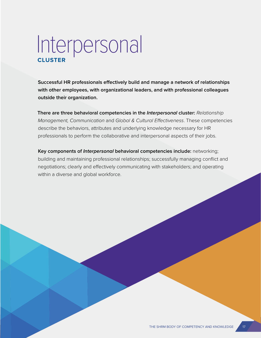# Interpersonal  **CLUSTER**

**Successful HR professionals effectively build and manage a network of relationships with other employees, with organizational leaders, and with professional colleagues outside their organization.** 

**There are three behavioral competencies in the Interpersonal cluster:** *Relationship Management, Communication* and *Global & Cultural Effectiveness*. These competencies describe the behaviors, attributes and underlying knowledge necessary for HR professionals to perform the collaborative and interpersonal aspects of their jobs.

**Key components of Interpersonal behavioral competencies include:** networking; building and maintaining professional relationships; successfully managing conflict and negotiations; clearly and effectively communicating with stakeholders; and operating within a diverse and global workforce.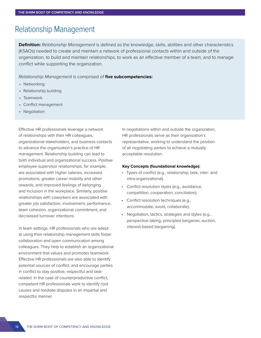### Relationship Management

**Definition:** *Relationship Management* is defined as the knowledge, skills, abilities and other characteristics (KSAOs) needed to create and maintain a network of professional contacts within and outside of the organization, to build and maintain relationships, to work as an effective member of a team, and to manage conflict while supporting the organization.

*Relationship Management* is comprised of **five subcompetencies:**

- Networking
- Relationship building
- Teamwork
- Conflict management
- Negotiation

Effective HR professionals leverage a network of relationships with their HR colleagues, organizational stakeholders, and business contacts to advance the organization's practice of HR management. Relationship building can lead to both individual and organizational success. Positive employee-supervisor relationships, for example, are associated with higher salaries, increased promotions, greater career mobility and other rewards, and improved feelings of belonging and inclusion in the workplace. Similarly, positive relationships with coworkers are associated with greater job satisfaction, involvement, performance, team cohesion, organizational commitment, and decreased turnover intentions.

In team settings, HR professionals who are adept at using their relationship management skills foster collaboration and open communication among colleagues. They help to establish an organizational environment that values and promotes teamwork. Effective HR professionals are also able to identify potential sources of conflict, and encourage parties in conflict to stay positive, respectful and taskrelated. In the case of counterproductive conflict, competent HR professionals work to identify root causes and mediate disputes in an impartial and respectful manner.

In negotiations within and outside the organization, HR professionals serve as their organization's representative, working to understand the position of all negotiating parties to achieve a mutually acceptable resolution.

- Types of conflict (e.g., relationship, task, inter- and intra-organizational).
- Conflict resolution styles (e.g., avoidance, competition, cooperation, conciliation).
- Conflict resolution techniques (e.g., accommodate, avoid, collaborate).
- Negotiation, tactics, strategies and styles (e.g., perspective taking, principled bargainer, auction, interest-based bargaining).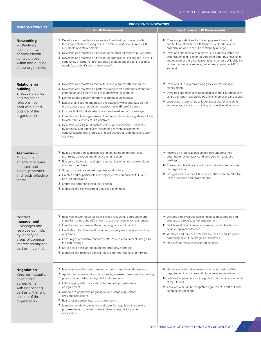|                                                                                                                                                         | <b>PROFICIENCY INDICATORS</b>                                                                                                                                                                                                                                                                                                                                                                                                                                                                                                                                                                                                                                                                                                                                                                                                 |                                                                                                                                                                                                                                                                                                                                                                                                                                      |  |
|---------------------------------------------------------------------------------------------------------------------------------------------------------|-------------------------------------------------------------------------------------------------------------------------------------------------------------------------------------------------------------------------------------------------------------------------------------------------------------------------------------------------------------------------------------------------------------------------------------------------------------------------------------------------------------------------------------------------------------------------------------------------------------------------------------------------------------------------------------------------------------------------------------------------------------------------------------------------------------------------------|--------------------------------------------------------------------------------------------------------------------------------------------------------------------------------------------------------------------------------------------------------------------------------------------------------------------------------------------------------------------------------------------------------------------------------------|--|
| <b>SUBCOMPETENCIES</b>                                                                                                                                  | <b>For All HR Professionals</b>                                                                                                                                                                                                                                                                                                                                                                                                                                                                                                                                                                                                                                                                                                                                                                                               | <b>For Advanced HR Professionals</b>                                                                                                                                                                                                                                                                                                                                                                                                 |  |
| <b>Networking</b><br>- Effectively<br>builds a network<br>of professional<br>contacts both<br>within and outside<br>of the organization                 | > Develops and maintains a network of professional contacts within<br>the organization, including peers in both HR and non-HR roles, HR<br>customers and stakeholders.<br>> Develops and maintains a network of external partners (e.g., vendors).<br>> Develops and maintains a network of professional colleagues in the HR<br>community at large, for professional development and to fill business<br>needs (e.g., identification of new talent).                                                                                                                                                                                                                                                                                                                                                                         | > Creates opportunities for HR employees to network<br>and build relationships with higher-level leaders in the<br>organization and in the HR community at large.<br>> Develops and maintains a network of contacts within the<br>organization (e.g., senior leaders from other business units)<br>and outside of the organization (e.g., members of legislative<br>bodies, community leaders, union heads, external HR<br>leaders). |  |
| Relationship<br>building $-$<br>Effectively builds<br>and maintains<br>relationships<br>both within and<br>outside of the<br>organization.              | > Develops and maintains mutual trust and respect with colleagues.<br>> Develops and maintains a pattern of reciprocal exchanges of support,<br>information and other valued resources with colleagues.<br>> Demonstrates concern for the well-being of colleagues.<br>> Establishes a strong and positive reputation, within and outside the<br>organization, as an open and approachable HR professional.<br>> Ensures that all stakeholder voices are heard and acknowledged.<br>> Identifies and leverages areas of common interest among stakeholders,<br>to foster the success of HR initiatives.<br>> Develops working relationships with supervisors and HR leaders<br>by promptly and effectively responding to work assignments,<br>communicating goal progress and project needs, and managing work<br>activities. | > Develops HR's objectives and goals for relationship<br>management.<br>> Develops and maintains relationships in the HR community<br>at large through leadership positions in other organizations.<br>> Leverages relationships to learn about best practices for<br>and new approaches to building competitive advantage.                                                                                                          |  |
| Teamwork $-$<br>Participates as<br>an effective team<br>member, and<br>builds, promotes<br>and leads effective<br>teams.                                | > Builds engaged relationships with team members through trust,<br>task-related support and direct communication.<br>> Fosters collaboration and open communication among stakeholders<br>and team members.<br>> Supports a team-oriented organizational culture.<br>> Creates and/or participates in project teams comprised of HR and<br>non-HR employees.<br>> Embraces opportunities to lead a team.<br>> Identifies and fills missing or unfulfilled team roles.                                                                                                                                                                                                                                                                                                                                                         | > Fosters an organizational culture that supports intra-<br>organizational teamwork and collaboration (e.g., silo-<br>busting).<br>> Creates and leads teams with senior leaders from across<br>the organization.<br>> Designs and oversees HR initiatives that promote effective<br>team processes and environments.                                                                                                                |  |
| <b>Conflict</b><br>management<br>– Manages and<br>resolves conflicts<br>by identifying<br>areas of common<br>interest among the<br>parties in conflict. | > Resolves and/or mediates conflicts in a respectful, appropriate and<br>impartial manner, and refers them to a higher level when warranted.<br>> Identifies and addresses the underlying causes of conflict.<br>> Facilitates difficult interactions among employees to achieve optimal<br>outcomes.<br>> Encourages productive and respectful task-related conflict, using it to<br>facilitate change.<br>> Serves as a positive role model for productive conflict.<br>> Identifies and resolves conflict that is counterproductive or harmful.                                                                                                                                                                                                                                                                            | > Designs and oversees conflict resolution strategies and<br>processes throughout the organization.<br>> Facilitates difficult interactions among senior leaders to<br>achieve optimal outcomes.<br>> Identifies and reduces potential sources of conflict when<br>proposing new HR strategies or initiatives.<br>> Mediates or resolves escalated conflicts.                                                                        |  |
| <b>Negotiation –</b><br>Reaches mutually<br>acceptable<br>agreements<br>with negotiating<br>parties within and<br>outside of the<br>organization.       | > Maintains a professional demeanor during negotiation discussions.<br>> Applies an understanding of the needs, interests, issues and bargaining<br>position of all parties to negotiation discussions.<br>> Offers appropriate concessions to promote progress toward<br>an agreement.<br>> Adheres to applicable negotiation- and bargaining-related<br>laws and regulations.<br>> Evaluates progress toward an agreement.<br>> Identifies an ideal solution or end state for negotiations, monitors<br>progress toward that end state, and ends negotiations when<br>appropriate.                                                                                                                                                                                                                                          | > Negotiates with stakeholders within and outside of the<br>organization in complex and high-stakes negotiations.<br>> Defines the parameters of negotiating boundaries on behalf<br>of the HR unit.<br>> Achieves a mutually acceptable agreement in difficult and<br>complex negotiations.                                                                                                                                         |  |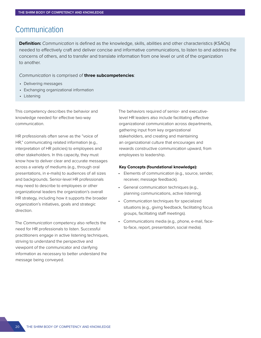### Communication

**Definition:** *Communication* is defined as the knowledge, skills, abilities and other characteristics (KSAOs) needed to effectively craft and deliver concise and informative communications, to listen to and address the concerns of others, and to transfer and translate information from one level or unit of the organization to another.

*Communication* is comprised of **three subcompetencies**:

- Delivering messages
- Exchanging organizational information
- Listening

This competency describes the behavior and knowledge needed for effective two-way communication.

HR professionals often serve as the "voice of HR," communicating related information (e.g., interpretation of HR policies) to employees and other stakeholders. In this capacity, they must know how to deliver clear and accurate messages across a variety of mediums (e.g., through oral presentations, in e-mails) to audiences of all sizes and backgrounds. Senior-level HR professionals may need to describe to employees or other organizational leaders the organization's overall HR strategy, including how it supports the broader organization's initiatives, goals and strategic direction.

The *Communication* competency also reflects the need for HR professionals to listen. Successful practitioners engage in active listening techniques, striving to understand the perspective and viewpoint of the communicator and clarifying information as necessary to better understand the message being conveyed.

The behaviors required of senior- and executivelevel HR leaders also include facilitating effective organizational communication across departments, gathering input from key organizational stakeholders, and creating and maintaining an organizational culture that encourages and rewards constructive communication upward, from employees to leadership.

- Elements of communication (e.g., source, sender, receiver, message feedback).
- General communication techniques (e.g., planning communications, active listening).
- Communication techniques for specialized situations (e.g., giving feedback, facilitating focus groups, facilitating staff meetings).
- Communications media (e.g., phone, e-mail, faceto-face, report, presentation, social media).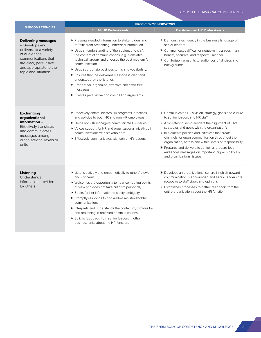|                                                                                                                                                                                           | <b>PROFICIENCY INDICATORS</b>                                                                                                                                                                                                                                                                                                                                                                                                                                                                                                                     |                                                                                                                                                                                                                                                                                                                                                                                                                                                                                                                     |
|-------------------------------------------------------------------------------------------------------------------------------------------------------------------------------------------|---------------------------------------------------------------------------------------------------------------------------------------------------------------------------------------------------------------------------------------------------------------------------------------------------------------------------------------------------------------------------------------------------------------------------------------------------------------------------------------------------------------------------------------------------|---------------------------------------------------------------------------------------------------------------------------------------------------------------------------------------------------------------------------------------------------------------------------------------------------------------------------------------------------------------------------------------------------------------------------------------------------------------------------------------------------------------------|
| <b>SUBCOMPETENCIES</b>                                                                                                                                                                    | <b>For All HR Professionals</b>                                                                                                                                                                                                                                                                                                                                                                                                                                                                                                                   | <b>For Advanced HR Professionals</b>                                                                                                                                                                                                                                                                                                                                                                                                                                                                                |
| <b>Delivering messages</b><br>- Develops and<br>delivers, to a variety<br>of audiences.<br>communications that<br>are clear, persuasive<br>and appropriate to the<br>topic and situation. | > Presents needed information to stakeholders and<br>refrains from presenting unneeded information.<br>> Uses an understanding of the audience to craft<br>the content of communications (e.g., translates<br>technical jargon), and chooses the best medium for<br>communication.<br>> Uses appropriate business terms and vocabulary.<br>> Ensures that the delivered message is clear and<br>understood by the listener.<br>> Crafts clear, organized, effective and error-free<br>messages.<br>> Creates persuasive and compelling arguments. | > Demonstrates fluency in the business language of<br>senior leaders.<br>> Communicates difficult or negative messages in an<br>honest, accurate, and respectful manner.<br>> Comfortably presents to audiences of all sizes and<br>backgrounds.                                                                                                                                                                                                                                                                    |
| <b>Exchanging</b><br>organizational<br>information $-$<br>Effectively translates<br>and communicates<br>messages among<br>organizational levels or<br>units.                              | > Effectively communicates HR programs, practices<br>and policies to both HR and non-HR employees.<br>> Helps non-HR managers communicate HR issues.<br>> Voices support for HR and organizational initiatives in<br>communications with stakeholders.<br>> Effectively communicates with senior HR leaders.                                                                                                                                                                                                                                      | > Communicates HR's vision, strategy, goals and culture<br>to senior leaders and HR staff.<br>> Articulates to senior leaders the alignment of HR's<br>strategies and goals with the organization's.<br>> Implements policies and initiatives that create<br>channels for open communication throughout the<br>organization, across and within levels of responsibility.<br>> Prepares and delivers to senior- and board-level<br>audiences messages on important, high-visibility HR<br>and organizational issues. |
| Listening $-$<br>Understands<br>information provided<br>by others.                                                                                                                        | > Listens actively and empathetically to others' views<br>and concerns.<br>> Welcomes the opportunity to hear competing points<br>of view and does not take criticism personally.<br>> Seeks further information to clarify ambiguity.<br>> Promptly responds to and addresses stakeholder<br>communications.<br>> Interprets and understands the context of, motives for<br>and reasoning in received communications.<br>> Solicits feedback from senior leaders in other<br>business units about the HR function.                               | > Develops an organizational culture in which upward<br>communication is encouraged and senior leaders are<br>receptive to staff views and opinions.<br>> Establishes processes to gather feedback from the<br>entire organization about the HR function.                                                                                                                                                                                                                                                           |
|                                                                                                                                                                                           |                                                                                                                                                                                                                                                                                                                                                                                                                                                                                                                                                   |                                                                                                                                                                                                                                                                                                                                                                                                                                                                                                                     |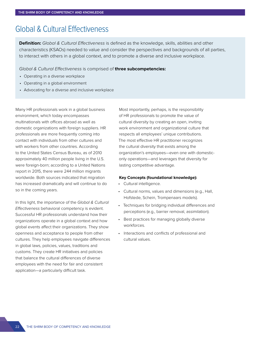### Global & Cultural Effectiveness

**Definition:** *Global & Cultural Effectiveness* is defined as the knowledge, skills, abilities and other characteristics (KSAOs) needed to value and consider the perspectives and backgrounds of all parties, to interact with others in a global context, and to promote a diverse and inclusive workplace.

*Global & Cultural Effectiveness* is comprised of **three subcompetencies:**

- Operating in a diverse workplace
- Operating in a global environment
- Advocating for a diverse and inclusive workplace

Many HR professionals work in a global business environment, which today encompasses multinationals with offices abroad as well as domestic organizations with foreign suppliers. HR professionals are more frequently coming into contact with individuals from other cultures and with workers from other countries. According to the United States Census Bureau, as of 2010 approximately 40 million people living in the U.S. were foreign-born; according to a United Nations report in 2015, there were 244 million migrants worldwide. Both sources indicated that migration has increased dramatically and will continue to do so in the coming years.

In this light, the importance of the *Global & Cultural Effectiveness* behavioral competency is evident. Successful HR professionals understand how their organizations operate in a global context and how global events affect their organizations. They show openness and acceptance to people from other cultures. They help employees navigate differences in global laws, policies, values, traditions and customs. They create HR initiatives and policies that balance the cultural differences of diverse employees with the need for fair and consistent application—a particularly difficult task.

Most importantly, perhaps, is the responsibility of HR professionals to promote the value of cultural diversity by creating an open, inviting work environment and organizational culture that respects all employees' unique contributions. The most effective HR practitioner recognizes the cultural diversity that exists among the organization's employees—even one with domesticonly operations—and leverages that diversity for lasting competitive advantage.

- Cultural intelligence.
- Cultural norms, values and dimensions (e.g., Hall, Hofstede, Schein, Trompenaars models).
- Techniques for bridging individual differences and perceptions (e.g., barrier removal, assimilation).
- Best practices for managing globally diverse workforces.
- Interactions and conflicts of professional and cultural values.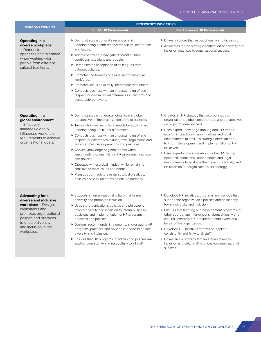|                                                                                                                                                                                                                     | <b>PROFICIENCY INDICATORS</b>                                                                                                                                                                                                                                                                                                                                                                                                                                                                                                                                                                                                                                                                    |                                                                                                                                                                                                                                                                                                                                                                                                                                                                                                                                                                             |
|---------------------------------------------------------------------------------------------------------------------------------------------------------------------------------------------------------------------|--------------------------------------------------------------------------------------------------------------------------------------------------------------------------------------------------------------------------------------------------------------------------------------------------------------------------------------------------------------------------------------------------------------------------------------------------------------------------------------------------------------------------------------------------------------------------------------------------------------------------------------------------------------------------------------------------|-----------------------------------------------------------------------------------------------------------------------------------------------------------------------------------------------------------------------------------------------------------------------------------------------------------------------------------------------------------------------------------------------------------------------------------------------------------------------------------------------------------------------------------------------------------------------------|
| <b>SUBCOMPETENCIES</b>                                                                                                                                                                                              | <b>For All HR Professionals</b>                                                                                                                                                                                                                                                                                                                                                                                                                                                                                                                                                                                                                                                                  | <b>For Advanced HR Professionals</b>                                                                                                                                                                                                                                                                                                                                                                                                                                                                                                                                        |
| Operating in a<br>diverse workplace<br>- Demonstrates<br>openness and tolerance<br>when working with<br>people from different<br>cultural traditions.                                                               | > Demonstrates a general awareness and<br>understanding of and respect for cultural differences<br>and issues.<br>> Adapts behavior to navigate different cultural<br>conditions, situations and people.<br>> Demonstrates acceptance of colleagues from<br>different cultures.<br>> Promotes the benefits of a diverse and inclusive<br>workforce.<br>> Promotes inclusion in daily interactions with others.<br>> Conducts business with an understanding of and<br>respect for cross-cultural differences in customs and<br>acceptable behaviors.                                                                                                                                             | > Drives a culture that values diversity and inclusion.<br>> Advocates for the strategic connection of diversity and<br>inclusion practices to organizational success.                                                                                                                                                                                                                                                                                                                                                                                                      |
| Operating in a<br>global environment<br>- Effectively<br>manages globally<br>influenced workplace<br>requirements to achieve<br>organizational goals.                                                               | > Demonstrates an understanding, from a global<br>perspective, of the organization's line of business.<br>> Tailors HR initiatives to local needs by applying an<br>understanding of cultural differences.<br>> Conducts business with an understanding of and<br>respect for differences in rules, laws, regulations and<br>accepted business operations and practices.<br>> Applies knowledge of global trends when<br>implementing or maintaining HR programs, practices<br>and policies.<br>> Operates with a global mindset while remaining<br>sensitive to local issues and needs.<br>> Manages contradictory or paradoxical practices,<br>policies and cultural norms, to ensure harmony. | > Creates an HR strategy that incorporates the<br>organization's global competencies and perspectives<br>on organizational success.<br>> Uses expert knowledge about global HR trends,<br>economic conditions, labor markets and legal<br>environments to set HR's strategic direction and<br>to inform development and implementation of HR<br>initiatives.<br>> Uses expert knowledge about global HR trends,<br>economic conditions, labor markets and legal<br>environments to evaluate the impact of diversity and<br>inclusion on the organization's HR strategy.     |
| <b>Advocating for a</b><br>diverse and inclusive<br><b>workplace</b> – Designs,<br>implements and<br>promotes organizational<br>policies and practices<br>to ensure diversity<br>and inclusion in the<br>workplace. | > Supports an organizational culture that values<br>diversity and promotes inclusion.<br>> Uses the organization's policies and philosophy<br>toward diversity and inclusion to inform business<br>decisions and implementation of HR programs,<br>practices and policies.<br>> Designs, recommends, implements, and/or audits HR<br>programs, practices and policies intended to ensure<br>diversity and inclusion.<br>> Ensures that HR programs, practices and policies are<br>applied consistently and respectfully to all staff.                                                                                                                                                            | > Develops HR initiatives, programs and policies that<br>support the organization's policies and philosophy<br>toward diversity and inclusion.<br>> Ensures that learning and development programs (or<br>other appropriate interventions) about diversity and<br>cultural sensitivity are provided to employees at all<br>levels of the organization.<br>> Develops HR initiatives that will be applied<br>consistently and fairly to all staff.<br>> Drives an HR strategy that leverages diversity,<br>inclusion and cultural differences for organizational<br>success. |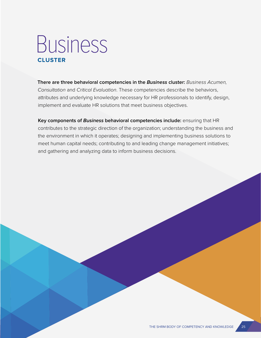# Business  **CLUSTER**

**There are three behavioral competencies in the Business cluster:** *Business Acumen, Consultation* and *Critical Evaluation*. These competencies describe the behaviors, attributes and underlying knowledge necessary for HR professionals to identify, design, implement and evaluate HR solutions that meet business objectives.

**Key components of Business behavioral competencies include:** ensuring that HR contributes to the strategic direction of the organization; understanding the business and the environment in which it operates; designing and implementing business solutions to meet human capital needs; contributing to and leading change management initiatives; and gathering and analyzing data to inform business decisions.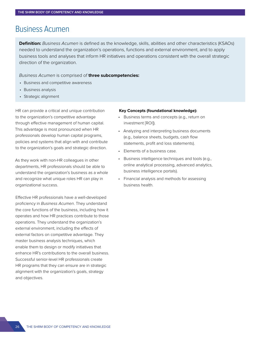### Business Acumen

**Definition:** *Business Acumen* is defined as the knowledge, skills, abilities and other characteristics (KSAOs) needed to understand the organization's operations, functions and external environment, and to apply business tools and analyses that inform HR initiatives and operations consistent with the overall strategic direction of the organization.

*Business Acumen* is comprised of **three subcompetencies:**

- Business and competitive awareness
- Business analysis
- Strategic alignment

HR can provide a critical and unique contribution to the organization's competitive advantage through effective management of human capital. This advantage is most pronounced when HR professionals develop human capital programs, policies and systems that align with and contribute to the organization's goals and strategic direction.

As they work with non-HR colleagues in other departments, HR professionals should be able to understand the organization's business as a whole and recognize what unique roles HR can play in organizational success.

Effective HR professionals have a well-developed proficiency in *Business Acumen*. They understand the core functions of the business, including how it operates and how HR practices contribute to those operations. They understand the organization's external environment, including the effects of external factors on competitive advantage. They master business analysis techniques, which enable them to design or modify initiatives that enhance HR's contributions to the overall business. Successful senior-level HR professionals create HR programs that they can ensure are in strategic alignment with the organization's goals, strategy and objectives.

- Business terms and concepts (e.g., return on investment [ROI]).
- Analyzing and interpreting business documents (e.g., balance sheets, budgets, cash flow statements, profit and loss statements).
- Elements of a business case.
- Business intelligence techniques and tools (e.g., online analytical processing, advanced analytics, business intelligence portals).
- Financial analysis and methods for assessing business health.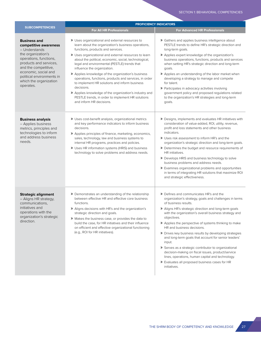|                                                                                                                                                                                                                                                             | <b>PROFICIENCY INDICATORS</b>                                                                                                                                                                                                                                                                                                                                                                                                                                                                                                                                                                                                                                          |                                                                                                                                                                                                                                                                                                                                                                                                                                                                                                                                                                                                                                                                                                                   |  |
|-------------------------------------------------------------------------------------------------------------------------------------------------------------------------------------------------------------------------------------------------------------|------------------------------------------------------------------------------------------------------------------------------------------------------------------------------------------------------------------------------------------------------------------------------------------------------------------------------------------------------------------------------------------------------------------------------------------------------------------------------------------------------------------------------------------------------------------------------------------------------------------------------------------------------------------------|-------------------------------------------------------------------------------------------------------------------------------------------------------------------------------------------------------------------------------------------------------------------------------------------------------------------------------------------------------------------------------------------------------------------------------------------------------------------------------------------------------------------------------------------------------------------------------------------------------------------------------------------------------------------------------------------------------------------|--|
| <b>SUBCOMPETENCIES</b>                                                                                                                                                                                                                                      | <b>For All HR Professionals</b>                                                                                                                                                                                                                                                                                                                                                                                                                                                                                                                                                                                                                                        | <b>For Advanced HR Professionals</b>                                                                                                                                                                                                                                                                                                                                                                                                                                                                                                                                                                                                                                                                              |  |
| <b>Business and</b><br>competitive awareness<br>- Understands<br>the organization's<br>operations, functions,<br>products and services,<br>and the competitive,<br>economic, social and<br>political environments in<br>which the organization<br>operates. | > Uses organizational and external resources to<br>learn about the organization's business operations,<br>functions, products and services.<br>> Uses organizational and external resources to learn<br>about the political, economic, social, technological,<br>legal and environmental (PESTLE) trends that<br>influence the organization.<br>> Applies knowledge of the organization's business<br>operations, functions, products and services, in order<br>to implement HR solutions and inform business<br>decisions.<br>> Applies knowledge of the organization's industry and<br>PESTLE trends, in order to implement HR solutions<br>and inform HR decisions. | > Gathers and applies business intelligence about<br>PESTLE trends to define HR's strategic direction and<br>long-term goals.<br>> Applies expert knowledge of the organization's<br>business operations, functions, products and services<br>when setting HR's strategic direction and long-term<br>goals.<br>> Applies an understanding of the labor market when<br>developing a strategy to manage and compete<br>for talent.<br>> Participates in advocacy activities involving<br>government policy and proposed regulations related<br>to the organization's HR strategies and long-term<br>goals.                                                                                                          |  |
| <b>Business analysis</b><br>- Applies business<br>metrics, principles and<br>technologies to inform<br>and address business<br>needs.                                                                                                                       | > Uses cost-benefit analysis, organizational metrics<br>and key performance indicators to inform business<br>decisions.<br>> Applies principles of finance, marketing, economics,<br>sales, technology, law and business systems to<br>internal HR programs, practices and policies.<br>> Uses HR information systems (HRIS) and business<br>technology to solve problems and address needs.                                                                                                                                                                                                                                                                           | > Designs, implements and evaluates HR initiatives with<br>consideration of value-added, ROI, utility, revenue,<br>profit and loss statements and other business<br>indicators.<br>> Uses risk assessment to inform HR's and the<br>organization's strategic direction and long-term goals.<br>> Determines the budget and resource requirements of<br>HR initiatives.<br>> Develops HRIS and business technology to solve<br>business problems and address needs.<br>> Examines organizational problems and opportunities<br>in terms of integrating HR solutions that maximize ROI<br>and strategic effectiveness.                                                                                              |  |
| <b>Strategic alignment</b><br>- Aligns HR strategy,<br>communications,<br>initiatives and<br>operations with the<br>organization's strategic<br>direction.                                                                                                  | > Demonstrates an understanding of the relationship<br>between effective HR and effective core business<br>functions.<br>> Aligns decisions with HR's and the organization's<br>strategic direction and goals.<br>> Makes the business case, or provides the data to<br>build the case, for HR initiatives and their influence<br>on efficient and effective organizational functioning<br>(e.g., ROI for HR initiatives).                                                                                                                                                                                                                                             | > Defines and communicates HR's and the<br>organization's strategy, goals and challenges in terms<br>of business results.<br>> Aligns HR's strategic direction and long-term goals<br>with the organization's overall business strategy and<br>objectives.<br>> Applies the perspective of systems thinking to make<br>HR and business decisions.<br>> Drives key business results by developing strategies<br>and long-term goals that account for senior leaders'<br>input.<br>> Serves as a strategic contributor to organizational<br>decision-making on fiscal issues, product/service<br>lines, operations, human capital and technology.<br>> Evaluates all proposed business cases for HR<br>initiatives. |  |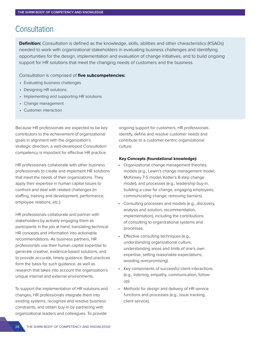### **Consultation**

**Definition:** *Consultation* is defined as the knowledge, skills, abilities and other characteristics (KSAOs) needed to work with organizational stakeholders in evaluating business challenges and identifying opportunities for the design, implementation and evaluation of change initiatives, and to build ongoing support for HR solutions that meet the changing needs of customers and the business.

*Consultation* is comprised of **five subcompetencies:**

- Evaluating business challenges
- Designing HR solutions
- Implementing and supporting HR solutions
- Change management
- Customer interaction

Because HR professionals are expected to be key contributors to the achievement of organizational goals in alignment with the organization's strategic direction, a well-developed *Consultation* competency is important for effective HR practice.

HR professionals collaborate with other business professionals to create and implement HR solutions that meet the needs of their organizations. They apply their expertise in human capital issues to confront and deal with related challenges (in staffing, training and development, performance, employee relations, etc.).

HR professionals collaborate and partner with stakeholders by actively engaging them as participants in the job at hand, translating technical HR concepts and information into actionable recommendations. As business partners, HR professionals use their human capital expertise to generate creative, evidence-based solutions, and to provide accurate, timely guidance. Best practices form the basis for such guidance, as well as research that takes into account the organization's unique internal and external environments.

To support the implementation of HR solutions and changes, HR professionals integrate them into existing systems, recognize and resolve business constraints, and obtain buy-in by partnering with organizational leaders and colleagues. To provide

ongoing support for customers, HR professionals identify, define and resolve customer needs and contribute to a customer-centric organizational culture.

- Organizational change management theories, models (e.g., Lewin's change management model, McKinsey 7-S model, Kotter's 8-step change model), and processes (e.g., leadership buy-in, building a case for change, engaging employees, communicating change, removing barriers).
- Consulting processes and models (e.g., discovery, analysis and solution, recommendation, implementation), including the contributions of consulting to organizational systems and processes.
- Effective consulting techniques (e.g., understanding organizational culture, understanding areas and limits of one's own expertise, setting reasonable expectations, avoiding overpromising).
- Key components of successful client interactions (e.g., listening, empathy, communication, followup).
- Methods for design and delivery of HR service functions and processes (e.g., issue tracking, client service).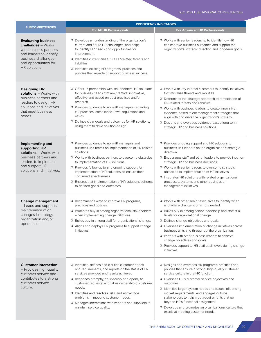|                                                                                                                                                                        | <b>PROFICIENCY INDICATORS</b>                                                                                                                                                                                                                                                                                                                                                                                                                       |                                                                                                                                                                                                                                                                                                                                                                                                                                                                                                                           |  |
|------------------------------------------------------------------------------------------------------------------------------------------------------------------------|-----------------------------------------------------------------------------------------------------------------------------------------------------------------------------------------------------------------------------------------------------------------------------------------------------------------------------------------------------------------------------------------------------------------------------------------------------|---------------------------------------------------------------------------------------------------------------------------------------------------------------------------------------------------------------------------------------------------------------------------------------------------------------------------------------------------------------------------------------------------------------------------------------------------------------------------------------------------------------------------|--|
| <b>SUBCOMPETENCIES</b>                                                                                                                                                 | <b>For All HR Professionals</b>                                                                                                                                                                                                                                                                                                                                                                                                                     | <b>For Advanced HR Professionals</b>                                                                                                                                                                                                                                                                                                                                                                                                                                                                                      |  |
| <b>Evaluating business</b><br>challenges - Works<br>with business partners<br>and leaders to identify<br>business challenges<br>and opportunities for<br>HR solutions. | > Develops an understanding of the organization's<br>current and future HR challenges, and helps<br>to identify HR needs and opportunities for<br>improvement.<br>> Identifies current and future HR-related threats and<br>liabilities.<br>> Identifies existing HR programs, practices and<br>policies that impede or support business success.                                                                                                   | > Works with senior leadership to identify how HR<br>can improve business outcomes and support the<br>organization's strategic direction and long-term goals.                                                                                                                                                                                                                                                                                                                                                             |  |
| <b>Designing HR</b><br>solutions - Works with<br>business partners and<br>leaders to design HR<br>solutions and initiatives<br>that meet business<br>needs.            | > Offers, in partnership with stakeholders, HR solutions<br>for business needs that are creative, innovative,<br>effective and based on best practices and/or<br>research.<br>> Provides guidance to non-HR managers regarding<br>HR practices, compliance, laws, regulations and<br>ethics.<br>> Defines clear goals and outcomes for HR solutions,<br>using them to drive solution design.                                                        | > Works with key internal customers to identify initiatives<br>that minimize threats and liabilities.<br>> Determines the strategic approach to remediation of<br>HR-related threats and liabilities.<br>> Works with business leaders to create innovative,<br>evidence-based talent management strategies that<br>align with and drive the organization's strategy.<br>> Designs and oversees evidence-based long-term<br>strategic HR and business solutions.                                                          |  |
| <b>Implementing and</b><br>supporting HR<br>solutions - Works with<br>business partners and<br>leaders to implement<br>and support HR<br>solutions and initiatives.    | > Provides guidance to non-HR managers and<br>business unit teams on implementation of HR-related<br>solutions.<br>> Works with business partners to overcome obstacles<br>to implementation of HR solutions.<br>> Provides follow-up to and ongoing support for<br>implementation of HR solutions, to ensure their<br>continued effectiveness.<br>> Ensures that implementation of HR solutions adheres<br>to defined goals and outcomes.          | > Provides ongoing support and HR solutions to<br>business unit leaders on the organization's strategic<br>direction.<br>> Encourages staff and other leaders to provide input on<br>strategic HR and business decisions.<br>> Works with senior leaders to overcome strategic<br>obstacles to implementation of HR initiatives.<br>> Integrates HR solutions with related organizational<br>processes, systems and other business or<br>management initiatives.                                                          |  |
| <b>Change management</b><br>- Leads and supports<br>maintenance of or<br>changes in strategy,<br>organization and/or<br>operations.                                    | > Recommends ways to improve HR programs,<br>practices and policies.<br>> Promotes buy-in among organizational stakeholders<br>when implementing change initiatives.<br>> Builds buy-in among staff for organizational change.<br>> Aligns and deploys HR programs to support change<br>initiatives.                                                                                                                                                | > Works with other senior executives to identify when<br>and where change is or is not needed.<br>> Builds buy-in among senior leadership and staff at all<br>levels for organizational change.<br>> Defines change objectives and goals.<br>> Oversees implementation of change initiatives across<br>business units and throughout the organization.<br>> Partners with other business leaders to achieve<br>change objectives and goals.<br>> Provides support to HR staff at all levels during change<br>initiatives. |  |
| <b>Customer interaction</b><br>- Provides high-quality<br>customer service and<br>contributes to a strong<br>customer service<br>culture.                              | > Identifies, defines and clarifies customer needs<br>and requirements, and reports on the status of HR<br>services provided and results achieved.<br>> Responds promptly, courteously and openly to<br>customer requests, and takes ownership of customer<br>needs.<br>> Identifies and resolves risks and early-stage<br>problems in meeting customer needs.<br>> Manages interactions with vendors and suppliers to<br>maintain service quality. | > Designs and oversees HR programs, practices and<br>policies that ensure a strong, high-quality customer<br>service culture in the HR function.<br>> Oversees HR's customer service objectives and<br>outcomes.<br>> Identifies larger system needs and issues influencing<br>market requirements, and engages outside<br>stakeholders to help meet requirements that go<br>beyond HR's functional assignment.<br>> Develops and promotes an organizational culture that<br>excels at meeting customer needs.            |  |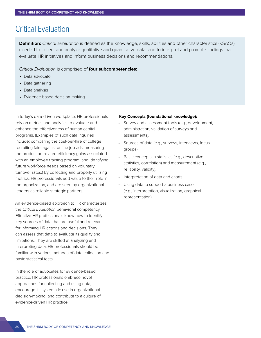### Critical Evaluation

**Definition:** *Critical Evaluation* is defined as the knowledge, skills, abilities and other characteristics (KSAOs) needed to collect and analyze qualitative and quantitative data, and to interpret and promote findings that evaluate HR initiatives and inform business decisions and recommendations.

*Critical Evaluation* is comprised of **four subcompetencies:**

- Data advocate
- Data gathering
- Data analysis
- Evidence-based decision-making

In today's data-driven workplace, HR professionals rely on metrics and analytics to evaluate and enhance the effectiveness of human capital programs. (Examples of such data inquiries include: comparing the cost-per-hire of college recruiting fairs against online job ads; measuring the production-related efficiency gains associated with an employee training program; and identifying future workforce needs based on voluntary turnover rates.) By collecting and properly utilizing metrics, HR professionals add value to their role in the organization, and are seen by organizational leaders as reliable strategic partners.

An evidence-based approach to HR characterizes the *Critical Evaluation* behavioral competency. Effective HR professionals know how to identify key sources of data that are useful and relevant for informing HR actions and decisions. They can assess that data to evaluate its quality and limitations. They are skilled at analyzing and interpreting data. HR professionals should be familiar with various methods of data collection and basic statistical tests.

In the role of advocates for evidence-based practice, HR professionals embrace novel approaches for collecting and using data, encourage its systematic use in organizational decision-making, and contribute to a culture of evidence-driven HR practice.

- Survey and assessment tools (e.g., development, administration, validation of surveys and assessments).
- Sources of data (e.g., surveys, interviews, focus groups).
- Basic concepts in statistics (e.g., descriptive statistics, correlation) and measurement (e.g., reliability, validity).
- Interpretation of data and charts.
- Using data to support a business case (e.g., interpretation, visualization, graphical representation).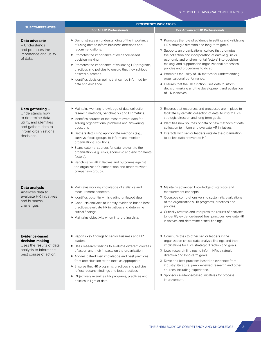|                                                                                                                                                   | <b>PROFICIENCY INDICATORS</b>                                                                                                                                                                                                                                                                                                                                                                                                                                                                                                                                                                                    |                                                                                                                                                                                                                                                                                                                                                                                                                                                                                                                                                                                                        |  |
|---------------------------------------------------------------------------------------------------------------------------------------------------|------------------------------------------------------------------------------------------------------------------------------------------------------------------------------------------------------------------------------------------------------------------------------------------------------------------------------------------------------------------------------------------------------------------------------------------------------------------------------------------------------------------------------------------------------------------------------------------------------------------|--------------------------------------------------------------------------------------------------------------------------------------------------------------------------------------------------------------------------------------------------------------------------------------------------------------------------------------------------------------------------------------------------------------------------------------------------------------------------------------------------------------------------------------------------------------------------------------------------------|--|
| <b>SUBCOMPETENCIES</b>                                                                                                                            | <b>For All HR Professionals</b>                                                                                                                                                                                                                                                                                                                                                                                                                                                                                                                                                                                  | <b>For Advanced HR Professionals</b>                                                                                                                                                                                                                                                                                                                                                                                                                                                                                                                                                                   |  |
| Data advocate<br>- Understands<br>and promotes the<br>importance and utility<br>of data.                                                          | > Demonstrates an understanding of the importance<br>of using data to inform business decisions and<br>recommendations.<br>> Promotes the importance of evidence-based<br>decision-making.<br>> Promotes the importance of validating HR programs,<br>practices and policies to ensure that they achieve<br>desired outcomes.<br>> Identifies decision points that can be informed by<br>data and evidence.                                                                                                                                                                                                      | > Promotes the role of evidence in setting and validating<br>HR's strategic direction and long-term goals.<br>> Supports an organizational culture that promotes<br>the collection and incorporation of data (e.g., risks,<br>economic and environmental factors) into decision-<br>making, and supports the organizational processes,<br>policies and procedures to do so.<br>> Promotes the utility of HR metrics for understanding<br>organizational performance.<br>> Ensures that the HR function uses data to inform<br>decision-making and the development and evaluation<br>of HR initiatives. |  |
| Data gathering -<br>Understands how<br>to determine data<br>utility, and identifies<br>and gathers data to<br>inform organizational<br>decisions. | > Maintains working knowledge of data collection,<br>research methods, benchmarks and HR metrics.<br>> Identifies sources of the most relevant data for<br>solving organizational problems and answering<br>questions.<br>> Gathers data using appropriate methods (e.g.,<br>surveys, focus groups) to inform and monitor<br>organizational solutions.<br>> Scans external sources for data relevant to the<br>organization (e.g., risks, economic and environmental<br>factors).<br>> Benchmarks HR initiatives and outcomes against<br>the organization's competition and other relevant<br>comparison groups. | > Ensures that resources and processes are in place to<br>facilitate systematic collection of data, to inform HR's<br>strategic direction and long-term goals.<br>> Identifies new sources of data or new methods of data<br>collection to inform and evaluate HR initiatives.<br>> Interacts with senior leaders outside the organization<br>to collect data relevant to HR.                                                                                                                                                                                                                          |  |
| Data analysis -<br>Analyzes data to<br>evaluate HR initiatives<br>and business<br>challenges.                                                     | > Maintains working knowledge of statistics and<br>measurement concepts.<br>> Identifies potentially misleading or flawed data.<br>> Conducts analyses to identify evidence-based best<br>practices, evaluate HR initiatives and determine<br>critical findings.<br>> Maintains objectivity when interpreting data.                                                                                                                                                                                                                                                                                              | > Maintains advanced knowledge of statistics and<br>measurement concepts.<br>> Oversees comprehensive and systematic evaluations<br>of the organization's HR programs, practices and<br>policies.<br>> Critically reviews and interprets the results of analyses<br>to identify evidence-based best practices, evaluate HR<br>initiatives and determine critical findings.                                                                                                                                                                                                                             |  |
| <b>Evidence-based</b><br>decision-making -<br>Uses the results of data<br>analysis to inform the<br>best course of action.                        | > Reports key findings to senior business and HR<br>leaders.<br>> Uses research findings to evaluate different courses<br>of action and their impacts on the organization.<br>> Applies data-driven knowledge and best practices<br>from one situation to the next, as appropriate.<br>> Ensures that HR programs, practices and policies<br>reflect research findings and best practices.<br>> Objectively examines HR programs, practices and<br>policies in light of data.                                                                                                                                    | > Communicates to other senior leaders in the<br>organization critical data analysis findings and their<br>implications for HR's strategic direction and goals.<br>> Uses research findings to inform HR's strategic<br>direction and long-term goals.<br>> Develops best practices based on evidence from<br>industry literature, peer-reviewed research and other<br>sources, including experience.<br>> Sponsors evidence-based initiatives for process<br>improvement.                                                                                                                             |  |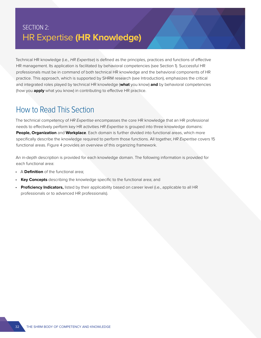### SECTION 2: HR Expertise **(HR Knowledge)**

Technical HR knowledge (i.e., *HR Expertise*) is defined as the principles, practices and functions of effective HR management. Its application is facilitated by behavioral competencies (see Section 1). Successful HR professionals must be in command of both technical HR knowledge and the behavioral components of HR practice. This approach, which is supported by SHRM research (see Introduction), emphasizes the critical and integrated roles played by technical HR knowledge (**what** you know) **and** by behavioral competencies (how you **apply** what you know) in contributing to effective HR practice.

### How to Read This Section

The technical competency of *HR Expertise* encompasses the core HR knowledge that an HR professional needs to effectively perform key HR activities *HR Expertise* is grouped into three knowledge domains: **People, Organization** and **Workplace**. Each domain is further divided into functional areas, which more specifically describe the knowledge required to perform those functions. All together, *HR Expertise* covers 15 functional areas. Figure 4 provides an overview of this organizing framework.

An in-depth description is provided for each knowledge domain. The following information is provided for each functional area:

- A **Definition** of the functional area;
- **Key Concepts** describing the knowledge specific to the functional area; and
- **Proficiency Indicators,** listed by their applicability based on career level (i.e., applicable to all HR professionals or to advanced HR professionals).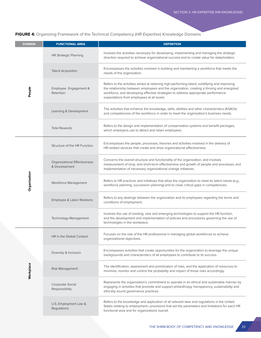#### FIGURE 4: Organizing Framework of the Technical Competency (HR Expertise) Knowledge Domains

| <b>DOMAIN</b> | <b>FUNCTIONAL AREA</b>                        | <b>DEFINITION</b>                                                                                                                                                                                                                                                                                                              |
|---------------|-----------------------------------------------|--------------------------------------------------------------------------------------------------------------------------------------------------------------------------------------------------------------------------------------------------------------------------------------------------------------------------------|
| People        | <b>HR Strategic Planning</b>                  | Involves the activities necessary for developing, implementing and managing the strategic<br>direction required to achieve organizational success and to create value for stakeholders.                                                                                                                                        |
|               | <b>Talent Acquisition</b>                     | Encompasses the activities involved in building and maintaining a workforce that meets the<br>needs of the organization.                                                                                                                                                                                                       |
|               | Employee Engagement &<br>Retention            | Refers to the activities aimed at retaining high-performing talent, solidifying and improving<br>the relationship between employees and the organization, creating a thriving and energized<br>workforce, and developing effective strategies to address appropriate performance<br>expectations from employees at all levels. |
|               | Learning & Development                        | The activities that enhance the knowledge, skills, abilities and other characteristics (KSAOs)<br>and competencies of the workforce in order to meet the organization's business needs.                                                                                                                                        |
|               | <b>Total Rewards</b>                          | Refers to the design and implementation of compensation systems and benefit packages,<br>which employers use to attract and retain employees.                                                                                                                                                                                  |
|               | Structure of the HR Function                  | Encompasses the people, processes, theories and activities involved in the delivery of<br>HR-related services that create and drive organizational effectiveness.                                                                                                                                                              |
| Organization  | Organizational Effectiveness<br>& Development | Concerns the overall structure and functionality of the organization, and involves<br>measurement of long- and short-term effectiveness and growth of people and processes, and<br>implementation of necessary organizational change initiatives.                                                                              |
|               | Workforce Management                          | Refers to HR practices and initiatives that allow the organization to meet its talent needs (e.g.,<br>workforce planning, succession planning) and to close critical gaps in competencies.                                                                                                                                     |
|               | Employee & Labor Relations                    | Refers to any dealings between the organization and its employees regarding the terms and<br>conditions of employment.                                                                                                                                                                                                         |
|               | Technology Management                         | Involves the use of existing, new and emerging technologies to support the HR function,<br>and the development and implementation of policies and procedures governing the use of<br>technologies in the workplace.                                                                                                            |
|               | HR in the Global Context                      | Focuses on the role of the HR professional in managing global workforces to achieve<br>organizational objectives.                                                                                                                                                                                                              |
|               | Diversity & Inclusion                         | Encompasses activities that create opportunities for the organization to leverage the unique<br>backgrounds and characteristics of all employees to contribute to its success.                                                                                                                                                 |
| Workplace     | Risk Management                               | The identification, assessment and prioritization of risks, and the application of resources to<br>minimize, monitor and control the probability and impact of those risks accordingly.                                                                                                                                        |
|               | Corporate Social<br>Responsibility            | Represents the organization's commitment to operate in an ethical and sustainable manner by<br>engaging in activities that promote and support philanthropy, transparency, sustainability and<br>ethically sound governance practices.                                                                                         |
|               | U.S. Employment Law &<br>Regulations          | Refers to the knowledge and application of all relevant laws and regulations in the United<br>States relating to employment-provisions that set the parameters and limitations for each HR<br>functional area and for organizations overall.                                                                                   |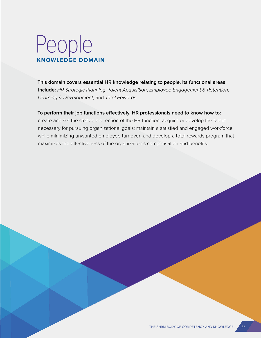# People  **KNOWLEDGE DOMAIN**

**This domain covers essential HR knowledge relating to people. Its functional areas include:** *HR Strategic Planning*, *Talent Acquisition*, *Employee Engagement & Retention*, *Learning & Development*, and *Total Rewards*.

## **To perform their job functions effectively, HR professionals need to know how to:**

create and set the strategic direction of the HR function; acquire or develop the talent necessary for pursuing organizational goals; maintain a satisfied and engaged workforce while minimizing unwanted employee turnover; and develop a total rewards program that maximizes the effectiveness of the organization's compensation and benefits.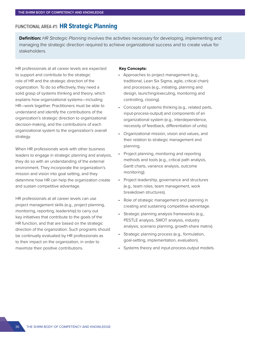## **FUNCTIONAL AREA #1: HR Strategic Planning**

**Definition:** *HR Strategic Planning* involves the activities necessary for developing, implementing and managing the strategic direction required to achieve organizational success and to create value for stakeholders.

HR professionals at all career levels are expected to support and contribute to the strategic role of HR and the strategic direction of the organization. To do so effectively, they need a solid grasp of systems thinking and theory, which explains how organizational systems—including HR—work together. Practitioners must be able to understand and identify the contributions of the organization's strategic direction to organizational decision-making, and the contributions of each organizational system to the organization's overall strategy.

When HR professionals work with other business leaders to engage in strategic planning and analysis, they do so with an understanding of the external environment. They incorporate the organization's mission and vision into goal setting, and they determine how HR can help the organization create and sustain competitive advantage.

HR professionals at all career levels can use project management skills (e.g., project planning, monitoring, reporting, leadership) to carry out key initiatives that contribute to the goals of the HR function, and that are based on the strategic direction of the organization. Such programs should be continually evaluated by HR professionals as to their impact on the organization, in order to maximize their positive contributions.

- Approaches to project management (e.g., traditional, Lean Six Sigma, agile, critical chain) and processes (e.g., initiating, planning and design, launching/executing, monitoring and controlling, closing).
- Concepts of systems thinking (e.g., related parts, input-process-output) and components of an organizational system (e.g., interdependence, necessity of feedback, differentiation of units).
- Organizational mission, vision and values, and their relation to strategic management and planning.
- Project planning, monitoring and reporting methods and tools (e.g., critical path analysis, Gantt charts, variance analysis, outcome monitoring).
- Project leadership, governance and structures (e.g., team roles, team management, work breakdown structures).
- Role of strategic management and planning in creating and sustaining competitive advantage.
- Strategic planning analysis frameworks (e.g., PESTLE analysis, SWOT analysis, industry analysis, scenario planning, growth-share matrix).
- Strategic planning process (e.g., formulation, goal-setting, implementation, evaluation).
- Systems theory and input-process-output models.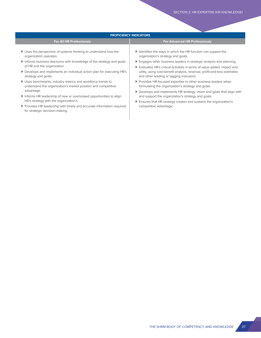| <b>PROFICIENCY INDICATORS</b>                                                                                                                                                                                                                                                                                                                                                                                                                                                                                                                                                                                                                                                                                                             |
|-------------------------------------------------------------------------------------------------------------------------------------------------------------------------------------------------------------------------------------------------------------------------------------------------------------------------------------------------------------------------------------------------------------------------------------------------------------------------------------------------------------------------------------------------------------------------------------------------------------------------------------------------------------------------------------------------------------------------------------------|
| <b>For Advanced HR Professionals</b>                                                                                                                                                                                                                                                                                                                                                                                                                                                                                                                                                                                                                                                                                                      |
| > Identifies the ways in which the HR function can support the<br>organization's strategy and goals.<br>> Engages other business leaders in strategic analysis and planning.<br>> Evaluates HR's critical activities in terms of value added, impact and<br>utility, using cost-benefit analysis, revenue, profit-and-loss estimates<br>and other leading or lagging indicators.<br>> Provides HR-focused expertise to other business leaders when<br>formulating the organization's strategy and goals.<br>> Develops and implements HR strategy, vision and goals that align with<br>and support the organization's strategy and goals.<br>> Ensures that HR strategy creates and sustains the organization's<br>competitive advantage. |
|                                                                                                                                                                                                                                                                                                                                                                                                                                                                                                                                                                                                                                                                                                                                           |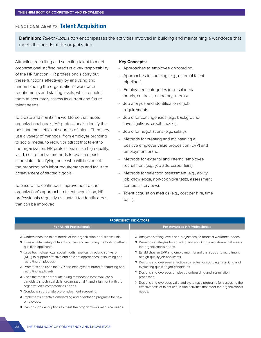## **FUNCTIONAL AREA #2: Talent Acquisition**

**Definition:** *Talent Acquisition* encompasses the activities involved in building and maintaining a workforce that meets the needs of the organization.

Attracting, recruiting and selecting talent to meet organizational staffing needs is a key responsibility of the HR function. HR professionals carry out these functions effectively by analyzing and understanding the organization's workforce requirements and staffing levels, which enables them to accurately assess its current and future talent needs.

To create and maintain a workforce that meets organizational goals, HR professionals identify the best and most efficient sources of talent. Then they use a variety of methods, from employer branding to social media, to recruit or attract that talent to the organization. HR professionals use high-quality, valid, cost-effective methods to evaluate each candidate, identifying those who will best meet the organization's labor requirements and facilitate achievement of strategic goals.

To ensure the continuous improvement of the organization's approach to talent acquisition, HR professionals regularly evaluate it to identify areas that can be improved.

- Approaches to employee onboarding.
- Approaches to sourcing (e.g., external talent pipelines).
- Employment categories (e.g., salaried/ hourly, contract, temporary, interns).
- Job analysis and identification of job requirements
- Job offer contingencies (e.g., background investigations, credit checks).
- Job offer negotiations (e.g., salary).
- Methods for creating and maintaining a positive employer value proposition (EVP) and employment brand.
- Methods for external and internal employee recruitment (e.g., job ads, career fairs).
- Methods for selection assessment (e.g., ability, job knowledge, non-cognitive tests, assessment centers, interviews).
- Talent acquisition metrics (e.g., cost per hire, time to fill).

| <b>PROFICIENCY INDICATORS</b>                                                                                                                                                  |                                                                                                                                                                                    |
|--------------------------------------------------------------------------------------------------------------------------------------------------------------------------------|------------------------------------------------------------------------------------------------------------------------------------------------------------------------------------|
| <b>For All HR Professionals</b>                                                                                                                                                | <b>For Advanced HR Professionals</b>                                                                                                                                               |
| > Understands the talent needs of the organization or business unit.<br>> Uses a wide variety of talent sources and recruiting methods to attract<br>qualified applicants.     | > Analyzes staffing levels and projections, to forecast workforce needs.<br>> Develops strategies for sourcing and acquiring a workforce that meets<br>the organization's needs.   |
| > Uses technology (e.g., social media, applicant tracking software<br>[ATS]) to support effective and efficient approaches to sourcing and<br>recruiting employees.            | > Establishes an EVP and employment brand that supports recruitment<br>of high-quality job applicants.<br>> Designs and oversees effective strategies for sourcing, recruiting and |
| > Promotes and uses the EVP and employment brand for sourcing and<br>recruiting applicants.                                                                                    | evaluating qualified job candidates.<br>> Designs and oversees employee onboarding and assimilation                                                                                |
| > Uses the most appropriate hiring methods to best evaluate a<br>candidate's technical skills, organizational fit and alignment with the<br>organization's competencies needs. | processes.<br>> Designs and oversees valid and systematic programs for assessing the<br>effectiveness of talent acquisition activities that meet the organization's                |
| > Conducts appropriate pre-employment screening.                                                                                                                               | needs.                                                                                                                                                                             |
| > Implements effective onboarding and orientation programs for new<br>employees.                                                                                               |                                                                                                                                                                                    |
| > Designs job descriptions to meet the organization's resource needs.                                                                                                          |                                                                                                                                                                                    |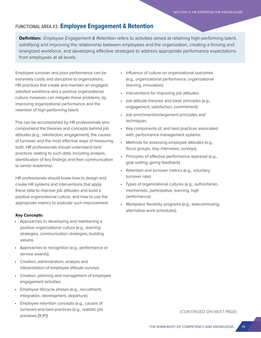## **FUNCTIONAL AREA #3: Employee Engagement & Retention**

**Definition:** *Employee Engagement & Retention* refers to activities aimed at retaining high-performing talent, solidifying and improving the relationship between employees and the organization, creating a thriving and energized workforce, and developing effective strategies to address appropriate performance expectations from employees at all levels.

Employee turnover and poor performance can be extremely costly and disruptive to organizations. HR practices that create and maintain an engaged, satisfied workforce and a positive organizational culture, however, can mitigate these problems, by improving organizational performance and the retention of high-performing talent.

This can be accomplished by HR professionals who comprehend the theories and concepts behind job attitudes (e.g., satisfaction, engagement), the causes of turnover, and the most effective ways of measuring both. HR professionals should understand best practices relating to such data, including analysis, identification of key findings and their communication to senior leadership.

HR professionals should know how to design and create HR systems and interventions that apply these data to improve job attitudes and build a positive organizational culture, and how to use the appropriate metrics to evaluate such improvement.

#### **Key Concepts:**

- Approaches to developing and maintaining a positive organizational culture (e.g., learning strategies, communication strategies, building values).
- Approaches to recognition (e.g., performance or service awards).
- Creation, administration, analysis and interpretation of employee attitude surveys.
- Creation, planning and management of employee engagement activities.
- Employee lifecycle phases (e.g., recruitment, integration, development, departure).
- Employee retention concepts (e.g., causes of turnover) and best practices (e.g., realistic job previews [RJP]).
- Influence of culture on organizational outcomes (e.g., organizational performance, organizational learning, innovation).
- Interventions for improving job attitudes.
- Job attitude theories and basic principles (e.g., engagement, satisfaction, commitment).
- Job enrichment/enlargement principles and techniques.
- Key components of, and best practices associated with, performance management systems.
- Methods for assessing employee attitudes (e.g., focus groups, stay interviews, surveys).
- Principles of effective performance appraisal (e.g., goal setting, giving feedback).
- Retention and turnover metrics (e.g., voluntary turnover rate).
- Types of organizational cultures (e.g., authoritarian, mechanistic, participative, learning, high performance).
- Workplace flexibility programs (e.g., telecommuting, alternative work schedules).

(CONTINUED ON NEXT PAGE)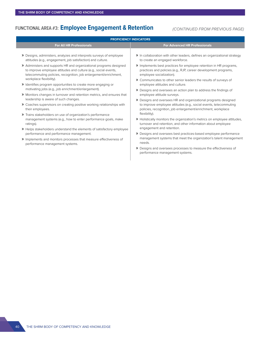I

## **FUNCTIONAL AREA #3: Employee Engagement & Retention** (CONTINUED FROM PREVIOUS PAGE)

| <b>PROFICIENCY INDICATORS</b>                                                                                                                                                                                                                                                                                                                                                                                                                                                                                                                                                                                                                                                                                                                                                                                                                                                                                                                                                                                                                                                              |                                                                                                                                                                                                                                                                                                                                                                                                                                                                                                                                                                                                                                                                                                                                                                                                                                                                                                                                                                                                                                                                                                                                                        |  |
|--------------------------------------------------------------------------------------------------------------------------------------------------------------------------------------------------------------------------------------------------------------------------------------------------------------------------------------------------------------------------------------------------------------------------------------------------------------------------------------------------------------------------------------------------------------------------------------------------------------------------------------------------------------------------------------------------------------------------------------------------------------------------------------------------------------------------------------------------------------------------------------------------------------------------------------------------------------------------------------------------------------------------------------------------------------------------------------------|--------------------------------------------------------------------------------------------------------------------------------------------------------------------------------------------------------------------------------------------------------------------------------------------------------------------------------------------------------------------------------------------------------------------------------------------------------------------------------------------------------------------------------------------------------------------------------------------------------------------------------------------------------------------------------------------------------------------------------------------------------------------------------------------------------------------------------------------------------------------------------------------------------------------------------------------------------------------------------------------------------------------------------------------------------------------------------------------------------------------------------------------------------|--|
| <b>For All HR Professionals</b>                                                                                                                                                                                                                                                                                                                                                                                                                                                                                                                                                                                                                                                                                                                                                                                                                                                                                                                                                                                                                                                            | <b>For Advanced HR Professionals</b>                                                                                                                                                                                                                                                                                                                                                                                                                                                                                                                                                                                                                                                                                                                                                                                                                                                                                                                                                                                                                                                                                                                   |  |
| > Designs, administers, analyzes and interprets surveys of employee<br>attitudes (e.g., engagement, job satisfaction) and culture.<br>> Administers and supports HR and organizational programs designed<br>to improve employee attitudes and culture (e.g., social events,<br>telecommuting policies, recognition, job enlargement/enrichment,<br>workplace flexibility).<br>> Identifies program opportunities to create more engaging or<br>motivating jobs (e.g., job enrichment/enlargement).<br>> Monitors changes in turnover and retention metrics, and ensures that<br>leadership is aware of such changes.<br>> Coaches supervisors on creating positive working relationships with<br>their employees.<br>> Trains stakeholders on use of organization's performance<br>management systems (e.g., how to enter performance goals, make<br>ratings).<br>> Helps stakeholders understand the elements of satisfactory employee<br>performance and performance management.<br>> Implements and monitors processes that measure effectiveness of<br>performance management systems. | > In collaboration with other leaders, defines an organizational strategy<br>to create an engaged workforce.<br>> Implements best practices for employee retention in HR programs,<br>practices and policies (e.g., RJP, career development programs,<br>employee socialization).<br>> Communicates to other senior leaders the results of surveys of<br>employee attitudes and culture.<br>> Designs and oversees an action plan to address the findings of<br>employee attitude surveys.<br>> Designs and oversees HR and organizational programs designed<br>to improve employee attitudes (e.g., social events, telecommuting<br>policies, recognition, job enlargement/enrichment, workplace<br>flexibility).<br>> Holistically monitors the organization's metrics on employee attitudes,<br>turnover and retention, and other information about employee<br>engagement and retention.<br>> Designs and oversees best practices-based employee performance<br>management systems that meet the organization's talent management<br>needs.<br>> Designs and oversees processes to measure the effectiveness of<br>performance management systems. |  |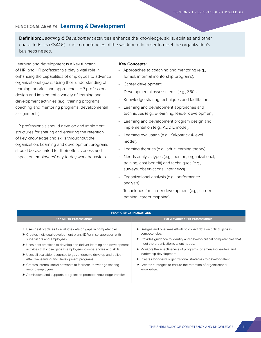## **FUNCTIONAL AREA #4: Learning & Development**

**Definition:** *Learning & Development* activities enhance the knowledge, skills, abilities and other characteristics (KSAOs) and competencies of the workforce in order to meet the organization's business needs.

Learning and development is a key function of HR, and HR professionals play a vital role in enhancing the capabilities of employees to advance organizational goals. Using their understanding of learning theories and approaches, HR professionals design and implement a variety of learning and development activities (e.g., training programs, coaching and mentoring programs, developmental assignments).

HR professionals should develop and implement structures for sharing and ensuring the retention of key knowledge and skills throughout the organization. Learning and development programs should be evaluated for their effectiveness and impact on employees' day-to-day work behaviors.

- Approaches to coaching and mentoring (e.g., formal, informal mentorship programs).
- Career development.
- Developmental assessments (e.g., 360s).
- Knowledge-sharing techniques and facilitation.
- Learning and development approaches and techniques (e.g., e-learning, leader development).
- Learning and development program design and implementation (e.g., ADDIE model).
- Learning evaluation (e.g., Kirkpatrick 4-level model).
- Learning theories (e.g., adult learning theory).
- Needs analysis types (e.g., person, organizational, training, cost-benefit) and techniques (e.g., surveys, observations, interviews).
- Organizational analysis (e.g., performance analysis).
- Techniques for career development (e.g., career pathing, career mapping).

| <b>PROFICIENCY INDICATORS</b>                                                                                                                                                                                                                                                                                                                                                                                                                                                                                                                                                                                |                                                                                                                                                                                                                                                                                                                                                                                                                                                            |
|--------------------------------------------------------------------------------------------------------------------------------------------------------------------------------------------------------------------------------------------------------------------------------------------------------------------------------------------------------------------------------------------------------------------------------------------------------------------------------------------------------------------------------------------------------------------------------------------------------------|------------------------------------------------------------------------------------------------------------------------------------------------------------------------------------------------------------------------------------------------------------------------------------------------------------------------------------------------------------------------------------------------------------------------------------------------------------|
| <b>For All HR Professionals</b>                                                                                                                                                                                                                                                                                                                                                                                                                                                                                                                                                                              | <b>For Advanced HR Professionals</b>                                                                                                                                                                                                                                                                                                                                                                                                                       |
| > Uses best practices to evaluate data on gaps in competencies.<br>> Creates individual development plans (IDPs) in collaboration with<br>supervisors and employees.<br>> Uses best practices to develop and deliver learning and development<br>activities that close gaps in employees' competencies and skills.<br>> Uses all available resources (e.g., vendors) to develop and deliver<br>effective learning and development programs.<br>> Creates internal social networks to facilitate knowledge-sharing<br>among employees.<br>>> Administers and supports programs to promote knowledge transfer. | > Designs and oversees efforts to collect data on critical gaps in<br>competencies.<br>> Provides quidance to identify and develop critical competencies that<br>meet the organization's talent needs.<br>> Monitors the effectiveness of programs for emerging leaders and<br>leadership development.<br>> Creates long-term organizational strategies to develop talent.<br>> Creates strategies to ensure the retention of organizational<br>knowledge. |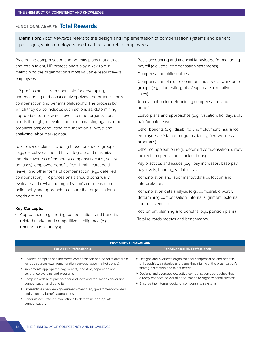## **FUNCTIONAL AREA #5: Total Rewards**

**Definition:** *T*o*tal Rewards* refers to the design and implementation of compensation systems and benefit packages, which employers use to attract and retain employees.

By creating compensation and benefits plans that attract and retain talent, HR professionals play a key role in maintaining the organization's most valuable resource—its employees.

HR professionals are responsible for developing, understanding and consistently applying the organization's compensation and benefits philosophy. The process by which they do so includes such actions as: determining appropriate total rewards levels to meet organizational needs through job evaluation; benchmarking against other organizations; conducting remuneration surveys; and analyzing labor market data.

Total rewards plans, including those for special groups (e.g., executives), should fully integrate and maximize the effectiveness of monetary compensation (i.e., salary, bonuses), employee benefits (e.g., health care, paid leave), and other forms of compensation (e.g., deferred compensation). HR professionals should continually evaluate and revise the organization's compensation philosophy and approach to ensure that organizational needs are met.

#### **Key Concepts:**

• Approaches to gathering compensation- and benefitsrelated market and competitive intelligence (e.g., remuneration surveys).

- Basic accounting and financial knowledge for managing payroll (e.g., total compensation statements).
- Compensation philosophies.
- Compensation plans for common and special workforce groups (e.g., domestic, global/expatriate, executive, sales).
- Job evaluation for determining compensation and benefits.
- Leave plans and approaches (e.g., vacation, holiday, sick, paid/unpaid leave).
- Other benefits (e.g., disability, unemployment insurance, employee assistance programs, family, flex, wellness programs).
- Other compensation (e.g., deferred compensation, direct/ indirect compensation, stock options).
- Pay practices and issues (e.g., pay increases, base pay, pay levels, banding, variable pay).
- Remuneration and labor market data collection and interpretation.
- Remuneration data analysis (e.g., comparable worth, determining compensation, internal alignment, external competitiveness).
- Retirement planning and benefits (e.g., pension plans).
- Total rewards metrics and benchmarks.

| <b>PROFICIENCY INDICATORS</b>                                                                                                                                                                                                                                                                                                                                                                                                                                                                                                                                 |                                                                                                                                                                                                                                                                                                                                                                                    |
|---------------------------------------------------------------------------------------------------------------------------------------------------------------------------------------------------------------------------------------------------------------------------------------------------------------------------------------------------------------------------------------------------------------------------------------------------------------------------------------------------------------------------------------------------------------|------------------------------------------------------------------------------------------------------------------------------------------------------------------------------------------------------------------------------------------------------------------------------------------------------------------------------------------------------------------------------------|
| <b>For All HR Professionals</b>                                                                                                                                                                                                                                                                                                                                                                                                                                                                                                                               | <b>For Advanced HR Professionals</b>                                                                                                                                                                                                                                                                                                                                               |
| > Collects, compiles and interprets compensation and benefits data from<br>various sources (e.g., remuneration surveys, labor market trends).<br>> Implements appropriate pay, benefit, incentive, separation and<br>severance systems and programs.<br><b>≫</b> Complies with best practices for and laws and regulations governing<br>compensation and benefits.<br>> Differentiates between government-mandated, government-provided<br>and voluntary benefit approaches.<br>> Performs accurate job evaluations to determine appropriate<br>compensation. | > Designs and oversees organizational compensation and benefits<br>philosophies, strategies and plans that align with the organization's<br>strategic direction and talent needs.<br>> Designs and oversees executive compensation approaches that<br>directly connect individual performance to organizational success.<br>> Ensures the internal equity of compensation systems. |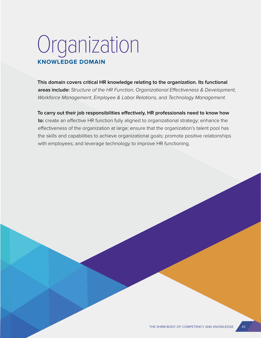# Organization  **KNOWLEDGE DOMAIN**

**This domain covers critical HR knowledge relating to the organization. Its functional areas include:** *Structure of the HR Function*, *Organizational Effectiveness & Development*, *Workforce Management*, *Employee & Labor Relations,* and *Technology Management*.

**To carry out their job responsibilities effectively, HR professionals need to know how to:** create an effective HR function fully aligned to organizational strategy; enhance the effectiveness of the organization at large; ensure that the organization's talent pool has the skills and capabilities to achieve organizational goals; promote positive relationships with employees; and leverage technology to improve HR functioning.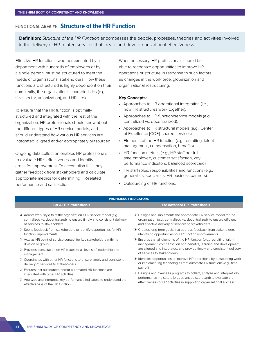## **FUNCTIONAL AREA #6: Structure of the HR Function**

**Definition:** *Structure of the HR Function* encompasses the people, processes, theories and activities involved in the delivery of HR-related services that create and drive organizational effectiveness.

Effective HR functions, whether executed by a department with hundreds of employees or by a single person, must be structured to meet the needs of organizational stakeholders. How these functions are structured is highly dependent on their complexity, the organization's characteristics (e.g., size, sector, unionization), and HR's role.

To ensure that the HR function is optimally structured and integrated with the rest of the organization, HR professionals should know about the different types of HR service models, and should understand how various HR services are integrated, aligned and/or appropriately outsourced.

Ongoing data collection enables HR professionals to evaluate HR's effectiveness and identify areas for improvement. To accomplish this, they gather feedback from stakeholders and calculate appropriate metrics for determining HR-related performance and satisfaction.

When necessary, HR professionals should be able to recognize opportunities to improve HR operations or structure in response to such factors as changes in the workforce, globalization and organizational restructuring.

- Approaches to HR operational integration (i.e., how HR structures work together).
- Approaches to HR function/service models (e.g., centralized vs. decentralized).
- Approaches to HR structural models (e.g., Center of Excellence [COE], shared services).
- Elements of the HR function (e.g. recruiting, talent management, compensation, benefits).
- HR-function metrics (e.g., HR staff per fulltime employee, customer satisfaction, key performance indicators, balanced scorecard).
- HR staff roles, responsibilities and functions (e.g., generalists, specialists, HR business partners).
- Outsourcing of HR functions.

| <b>PROFICIENCY INDICATORS</b>                                                                                                                                                                                                                                                                                                                                                           |                                                                                                                                                                                                                                                                                                                                                                                                                                                                                     |
|-----------------------------------------------------------------------------------------------------------------------------------------------------------------------------------------------------------------------------------------------------------------------------------------------------------------------------------------------------------------------------------------|-------------------------------------------------------------------------------------------------------------------------------------------------------------------------------------------------------------------------------------------------------------------------------------------------------------------------------------------------------------------------------------------------------------------------------------------------------------------------------------|
| <b>For All HR Professionals</b>                                                                                                                                                                                                                                                                                                                                                         | <b>For Advanced HR Professionals</b>                                                                                                                                                                                                                                                                                                                                                                                                                                                |
| > Adapts work style to fit the organization's HR service model (e.g.,<br>centralized vs. decentralized), to ensure timely and consistent delivery<br>of services to stakeholders.<br><b>≫</b> Seeks feedback from stakeholders to identify opportunities for HR<br>function improvements.<br>>> Acts as HR point-of-service contact for key stakeholders within a<br>division or group. | > Designs and implements the appropriate HR service model for the<br>organization (e.g., centralized vs. decentralized), to ensure efficient<br>and effective delivery of services to stakeholders.<br>> Creates long-term goals that address feedback from stakeholders<br>identifying opportunities for HR function improvements.<br>> Ensures that all elements of the HR function (e.g., recruiting, talent<br>management, compensation and benefits, learning and development) |
| ≫ Provides consultation on HR issues to all levels of leadership and<br>management.                                                                                                                                                                                                                                                                                                     | are aligned and integrated, and provide timely and consistent delivery<br>of services to stakeholders.                                                                                                                                                                                                                                                                                                                                                                              |
| > Coordinates with other HR functions to ensure timely and consistent<br>delivery of services to stakeholders.                                                                                                                                                                                                                                                                          | > Identifies opportunities to improve HR operations by outsourcing work<br>or implementing technologies that automate HR functions (e.g., time,                                                                                                                                                                                                                                                                                                                                     |
| <b>≫</b> Ensures that outsourced and/or automated HR functions are<br>integrated with other HR activities.                                                                                                                                                                                                                                                                              | payroll).<br>> Designs and oversees programs to collect, analyze and interpret key<br>performance indicators (e.g., balanced scorecard) to evaluate the                                                                                                                                                                                                                                                                                                                             |
| > Analyzes and interprets key performance indicators to understand the<br>effectiveness of the HR function.                                                                                                                                                                                                                                                                             | effectiveness of HR activities in supporting organizational success.                                                                                                                                                                                                                                                                                                                                                                                                                |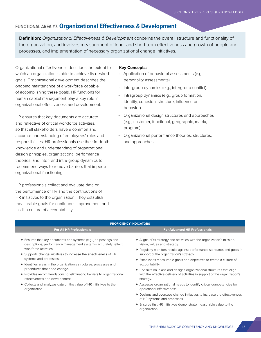## **FUNCTIONAL AREA #7: Organizational Effectiveness & Development**

**Definition:** *Organizational Effectiveness & Development* concerns the overall structure and functionality of the organization, and involves measurement of long- and short-term effectiveness and growth of people and processes, and implementation of necessary organizational change initiatives.

Organizational effectiveness describes the extent to which an organization is able to achieve its desired goals. Organizational development describes the ongoing maintenance of a workforce capable of accomplishing these goals. HR functions for human capital management play a key role in organizational effectiveness and development.

HR ensures that key documents are accurate and reflective of critical workforce activities, so that all stakeholders have a common and accurate understanding of employees' roles and responsibilities. HR professionals use their in-depth knowledge and understanding of organizational design principles, organizational performance theories, and inter- and intra-group dynamics to recommend ways to remove barriers that impede organizational functioning.

HR professionals collect and evaluate data on the performance of HR and the contributions of HR initiatives to the organization. They establish measurable goals for continuous improvement and instill a culture of accountability.

- Application of behavioral assessments (e.g., personality assessments).
- Intergroup dynamics (e.g., intergroup conflict).
- Intragroup dynamics (e.g., group formation, identity, cohesion, structure, influence on behavior).
- Organizational design structures and approaches (e.g., customer, functional, geographic, matrix, program).
- Organizational performance theories, structures, and approaches.

| <b>PROFICIENCY INDICATORS</b>                                                                                                                                                                                                                                                                                                             |                                                                                                                                                                                                                                                                                                                          |
|-------------------------------------------------------------------------------------------------------------------------------------------------------------------------------------------------------------------------------------------------------------------------------------------------------------------------------------------|--------------------------------------------------------------------------------------------------------------------------------------------------------------------------------------------------------------------------------------------------------------------------------------------------------------------------|
| <b>For All HR Professionals</b>                                                                                                                                                                                                                                                                                                           | <b>For Advanced HR Professionals</b>                                                                                                                                                                                                                                                                                     |
| <b>≫</b> Ensures that key documents and systems (e.g., job postings and<br>descriptions, performance management systems) accurately reflect<br>workforce activities.<br>> Supports change initiatives to increase the effectiveness of HR<br>systems and processes.<br>> Identifies areas in the organization's structures, processes and | > Aligns HR's strategy and activities with the organization's mission,<br>vision, values and strategy.<br>> Requiarly monitors results against performance standards and goals in<br>support of the organization's strategy.<br>>> Establishes measurable goals and objectives to create a culture of<br>accountability. |
| procedures that need change.<br>> Provides recommendations for eliminating barriers to organizational<br>effectiveness and development.                                                                                                                                                                                                   | > Consults on, plans and designs organizational structures that align<br>with the effective delivery of activities in support of the organization's<br>strategy.                                                                                                                                                         |
| > Collects and analyzes data on the value of HR initiatives to the<br>organization.                                                                                                                                                                                                                                                       | >> Assesses organizational needs to identify critical competencies for<br>operational effectiveness.<br>> Designs and oversees change initiatives to increase the effectiveness<br>of HR systems and processes.<br>> Ensures that HR initiatives demonstrate measurable value to the<br>organization.                    |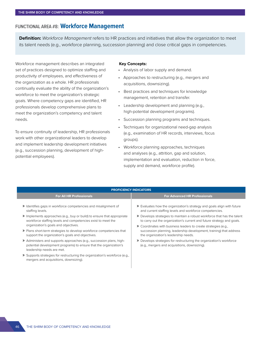## **FUNCTIONAL AREA #8: Workforce Management**

**Definition:** *Workforce Management* refers to HR practices and initiatives that allow the organization to meet its talent needs (e.g., workforce planning, succession planning) and close critical gaps in competencies.

Workforce management describes an integrated set of practices designed to optimize staffing and productivity of employees, and effectiveness of the organization as a whole. HR professionals continually evaluate the ability of the organization's workforce to meet the organization's strategic goals. Where competency gaps are identified, HR professionals develop comprehensive plans to meet the organization's competency and talent needs.

To ensure continuity of leadership, HR professionals work with other organizational leaders to develop and implement leadership development initiatives (e.g., succession planning, development of highpotential employees).

- Analysis of labor supply and demand.
- Approaches to restructuring (e.g., mergers and acquisitions, downsizing).
- Best practices and techniques for knowledge management, retention and transfer.
- Leadership development and planning (e.g., high-potential development programs).
- Succession planning programs and techniques.
- Techniques for organizational need-gap analysis (e.g., examination of HR records, interviews, focus groups).
- Workforce planning approaches, techniques and analyses (e.g., attrition, gap and solution, implementation and evaluation, reduction in force, supply and demand, workforce profile).

| <b>PROFICIENCY INDICATORS</b>                                                                                                                                                                                                                                                                                                                                                                      |                                                                                                                                                                                                                                                                                                                                                                                                                                                                            |
|----------------------------------------------------------------------------------------------------------------------------------------------------------------------------------------------------------------------------------------------------------------------------------------------------------------------------------------------------------------------------------------------------|----------------------------------------------------------------------------------------------------------------------------------------------------------------------------------------------------------------------------------------------------------------------------------------------------------------------------------------------------------------------------------------------------------------------------------------------------------------------------|
| <b>For All HR Professionals</b>                                                                                                                                                                                                                                                                                                                                                                    | <b>For Advanced HR Professionals</b>                                                                                                                                                                                                                                                                                                                                                                                                                                       |
| > Identifies gaps in workforce competencies and misalignment of<br>staffing levels.<br>> Implements approaches (e.g., buy or build) to ensure that appropriate<br>workforce staffing levels and competencies exist to meet the<br>organization's goals and objectives.<br>> Plans short-term strategies to develop workforce competencies that<br>support the organization's goals and objectives. | > Evaluates how the organization's strategy and goals align with future<br>and current staffing levels and workforce competencies.<br>> Develops strategies to maintain a robust workforce that has the talent<br>to carry out the organization's current and future strategy and goals.<br>> Coordinates with business leaders to create strategies (e.g.,<br>succession planning, leadership development, training) that address<br>the organization's leadership needs. |
| > Administers and supports approaches (e.g., succession plans, high-<br>potential development programs) to ensure that the organization's<br>leadership needs are met.<br>> Supports strategies for restructuring the organization's workforce (e.g.,<br>mergers and acquisitions, downsizing).                                                                                                    | > Develops strategies for restructuring the organization's workforce<br>(e.g., mergers and acquisitions, downsizing).                                                                                                                                                                                                                                                                                                                                                      |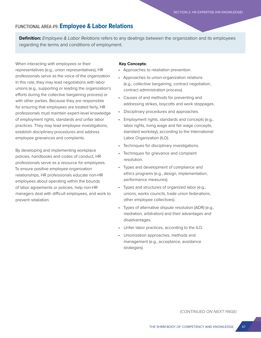## **FUNCTIONAL AREA #9: Employee & Labor Relations**

**Definition:** *Employee & Labor Relations* refers to any dealings between the organization and its employees regarding the terms and conditions of employment.

When interacting with employees or their representatives (e.g., union representatives), HR professionals serve as the voice of the organization. In this role, they may lead negotiations with labor unions (e.g., supporting or leading the organization's efforts during the collective bargaining process) or with other parties. Because they are responsible for ensuring that employees are treated fairly, HR professionals must maintain expert-level knowledge of employment rights, standards and unfair labor practices. They may lead employee investigations, establish disciplinary procedures and address employee grievances and complaints.

By developing and implementing workplace policies, handbooks and codes of conduct, HR professionals serve as a resource for employees. To ensure positive employee-organization relationships, HR professionals educate non-HR employees about operating within the bounds of labor agreements or policies, help non-HR managers deal with difficult employees, and work to prevent retaliation.

### **Key Concepts:**

- Approaches to retaliation prevention.
- Approaches to union-organization relations (e.g., collective bargaining, contract negotiation, contract administration process).
- Causes of and methods for preventing and addressing strikes, boycotts and work stoppages.
- Disciplinary procedures and approaches.
- Employment rights, standards and concepts (e.g., labor rights, living wage and fair wage concepts, standard workday), according to the International Labor Organization (ILO).
- Techniques for disciplinary investigations.
- Techniques for grievance and complaint resolution.
- Types and development of compliance and ethics programs (e.g., design, implementation, performance measures).
- Types and structures of organized labor (e.g., unions, works councils, trade union federations, other employee collectives).
- Types of alternative dispute resolution (ADR) (e.g., mediation, arbitration) and their advantages and disadvantages.
- Unfair labor practices, according to the ILO.
- Unionization approaches, methods and management (e.g., acceptance, avoidance strategies).

(CONTINUED ON NEXT PAGE)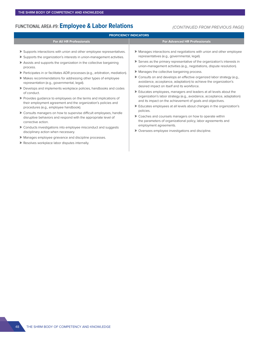## **FUNCTIONAL AREA #9: Employee & Labor Relations** (CONTINUED FROM PREVIOUS PAGE)

| <b>PROFICIENCY INDICATORS</b>                                                                                                                                                                                                                                                                                                                                                                                                                                                                                                                                                                                                                                                                                                                                                                                                                                                                                                                                                                                                                                                                      |                                                                                                                                                                                                                                                                                                                                                                                                                                                                                                                                                                                                                                                                                                                                                                                                                                                                                                                                                                                                                                              |
|----------------------------------------------------------------------------------------------------------------------------------------------------------------------------------------------------------------------------------------------------------------------------------------------------------------------------------------------------------------------------------------------------------------------------------------------------------------------------------------------------------------------------------------------------------------------------------------------------------------------------------------------------------------------------------------------------------------------------------------------------------------------------------------------------------------------------------------------------------------------------------------------------------------------------------------------------------------------------------------------------------------------------------------------------------------------------------------------------|----------------------------------------------------------------------------------------------------------------------------------------------------------------------------------------------------------------------------------------------------------------------------------------------------------------------------------------------------------------------------------------------------------------------------------------------------------------------------------------------------------------------------------------------------------------------------------------------------------------------------------------------------------------------------------------------------------------------------------------------------------------------------------------------------------------------------------------------------------------------------------------------------------------------------------------------------------------------------------------------------------------------------------------------|
| <b>For All HR Professionals</b>                                                                                                                                                                                                                                                                                                                                                                                                                                                                                                                                                                                                                                                                                                                                                                                                                                                                                                                                                                                                                                                                    | <b>For Advanced HR Professionals</b>                                                                                                                                                                                                                                                                                                                                                                                                                                                                                                                                                                                                                                                                                                                                                                                                                                                                                                                                                                                                         |
| > Supports interactions with union and other employee representatives.<br>> Supports the organization's interests in union-management activities.<br>> Assists and supports the organization in the collective bargaining<br>process.<br>> Participates in or facilitates ADR processes (e.g., arbitration, mediation).<br>> Makes recommendations for addressing other types of employee<br>representation (e.g., governmental, legal).<br>> Develops and implements workplace policies, handbooks and codes<br>of conduct.<br>> Provides quidance to employees on the terms and implications of<br>their employment agreement and the organization's policies and<br>procedures (e.g., employee handbook).<br>> Consults managers on how to supervise difficult employees, handle<br>disruptive behaviors and respond with the appropriate level of<br>corrective action.<br>> Conducts investigations into employee misconduct and suggests<br>disciplinary action when necessary.<br>> Manages employee grievance and discipline processes.<br>> Resolves workplace labor disputes internally. | > Manages interactions and negotiations with union and other employee<br>representatives (e.g., governmental, legal).<br>> Serves as the primary representative of the organization's interests in<br>union-management activities (e.g., negotiations, dispute resolution).<br>> Manages the collective bargaining process.<br>> Consults on and develops an effective organized labor strategy (e.g.,<br>avoidance, acceptance, adaptation) to achieve the organization's<br>desired impact on itself and its workforce.<br>> Educates employees, managers and leaders at all levels about the<br>organization's labor strategy (e.g., avoidance, acceptance, adaptation)<br>and its impact on the achievement of goals and objectives.<br>> Educates employees at all levels about changes in the organization's<br>policies.<br>> Coaches and counsels managers on how to operate within<br>the parameters of organizational policy, labor agreements and<br>employment agreements.<br>> Oversees employee investigations and discipline. |
|                                                                                                                                                                                                                                                                                                                                                                                                                                                                                                                                                                                                                                                                                                                                                                                                                                                                                                                                                                                                                                                                                                    |                                                                                                                                                                                                                                                                                                                                                                                                                                                                                                                                                                                                                                                                                                                                                                                                                                                                                                                                                                                                                                              |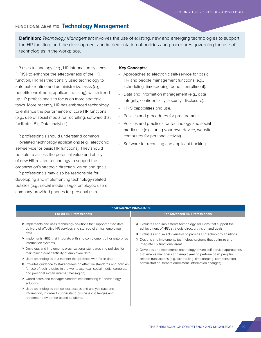## **FUNCTIONAL AREA #10: Technology Management**

**Definition:** *Technology Management* involves the use of existing, new and emerging technologies to support the HR function, and the development and implementation of policies and procedures governing the use of technologies in the workplace.

HR uses technology (e.g., HR information systems [HRIS]) to enhance the effectiveness of the HR function. HR has traditionally used technology to automate routine and administrative tasks (e.g., benefits enrollment, applicant tracking), which freed up HR professionals to focus on more strategic tasks. More recently, HR has embraced technology to enhance the performance of core HR functions (e.g., use of social media for recruiting, software that facilitates Big Data analytics).

HR professionals should understand common HR-related technology applications (e.g., electronic self-service for basic HR functions). They should be able to assess the potential value and ability of new HR-related technology to support the organization's strategic direction, vision and goals. HR professionals may also be responsible for developing and implementing technology-related policies (e.g., social media usage, employee use of company-provided phones for personal use).

- Approaches to electronic self-service for basic HR and people management functions (e.g., scheduling, timekeeping, benefit enrollment).
- Data and information management (e.g., data integrity, confidentiality, security, disclosure).
- HRIS capabilities and use.
- Policies and procedures for procurement.
- Policies and practices for technology and social media use (e.g., bring-your-own-device, websites, computers for personal activity).
- Software for recruiting and applicant tracking.

| <b>PROFICIENCY INDICATORS</b>                                                                                                                                                                                                                                                                                                                                                                                                                                                                                                                                                                                                                                                                                                                                                                                                                                                                           |                                                                                                                                                                                                                                                                                                                                                                                                                                                                                                                                                                                   |
|---------------------------------------------------------------------------------------------------------------------------------------------------------------------------------------------------------------------------------------------------------------------------------------------------------------------------------------------------------------------------------------------------------------------------------------------------------------------------------------------------------------------------------------------------------------------------------------------------------------------------------------------------------------------------------------------------------------------------------------------------------------------------------------------------------------------------------------------------------------------------------------------------------|-----------------------------------------------------------------------------------------------------------------------------------------------------------------------------------------------------------------------------------------------------------------------------------------------------------------------------------------------------------------------------------------------------------------------------------------------------------------------------------------------------------------------------------------------------------------------------------|
| <b>For All HR Professionals</b>                                                                                                                                                                                                                                                                                                                                                                                                                                                                                                                                                                                                                                                                                                                                                                                                                                                                         | <b>For Advanced HR Professionals</b>                                                                                                                                                                                                                                                                                                                                                                                                                                                                                                                                              |
| > Implements and uses technology solutions that support or facilitate<br>delivery of effective HR services and storage of critical employee<br>data.<br>> Implements HRIS that integrate with and complement other enterprise<br>information systems.<br>> Develops and implements organizational standards and policies for<br>maintaining confidentiality of employee data.<br>>> Uses technologies in a manner that protects workforce data.<br>> Provides guidance to stakeholders on effective standards and policies<br>for use of technologies in the workplace (e.g., social media, corporate<br>and personal e-mail, internet messaging).<br>> Coordinates and manages vendors implementing HR technology<br>solutions.<br>> Uses technologies that collect, access and analyze data and<br>information, in order to understand business challenges and<br>recommend evidence-based solutions. | > Evaluates and implements technology solutions that support the<br>achievement of HR's strategic direction, vision and goals.<br>> Evaluates and selects vendors to provide HR technology solutions.<br>> Designs and implements technology systems that optimize and<br>integrate HR functional areas.<br>> Develops and implements technology-driven self-service approaches<br>that enable managers and employees to perform basic people-<br>related transactions (e.g., scheduling, time keeping, compensation<br>administration, benefit enrollment, information changes). |
|                                                                                                                                                                                                                                                                                                                                                                                                                                                                                                                                                                                                                                                                                                                                                                                                                                                                                                         |                                                                                                                                                                                                                                                                                                                                                                                                                                                                                                                                                                                   |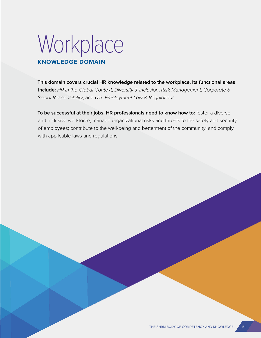# Workplace  **KNOWLEDGE DOMAIN**

**This domain covers crucial HR knowledge related to the workplace. Its functional areas include:** *HR in the Global Context*, *Diversity & Inclusion*, *Risk Management*, *Corporate & Social Responsibility*, and *U.S. Employment Law & Regulations*.

**To be successful at their jobs, HR professionals need to know how to:** foster a diverse and inclusive workforce; manage organizational risks and threats to the safety and security of employees; contribute to the well-being and betterment of the community; and comply with applicable laws and regulations.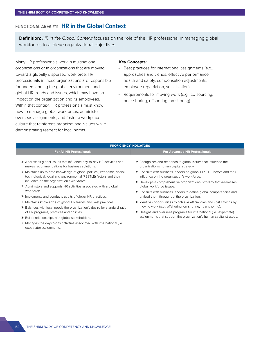## **FUNCTIONAL AREA #11: HR in the Global Context**

**Definition:** *HR in the Global Context* focuses on the role of the HR professional in managing global workforces to achieve organizational objectives.

Many HR professionals work in multinational organizations or in organizations that are moving toward a globally dispersed workforce. HR professionals in these organizations are responsible for understanding the global environment and global HR trends and issues, which may have an impact on the organization and its employees. Within that context, HR professionals must know how to manage global workforces, administer overseas assignments, and foster a workplace culture that reinforces organizational values while demonstrating respect for local norms.

- Best practices for international assignments (e.g., approaches and trends, effective performance, health and safety, compensation adjustments, employee repatriation, socialization).
- Requirements for moving work (e.g., co-sourcing, near-shoring, offshoring, on-shoring).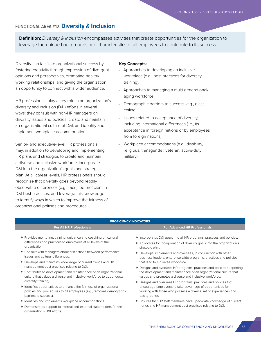## **FUNCTIONAL AREA #12: Diversity & Inclusion**

**Definition:** *Diversity & Inclusion* encompasses activities that create opportunities for the organization to leverage the unique backgrounds and characteristics of all employees to contribute to its success.

Diversity can facilitate organizational success by fostering creativity through expression of divergent opinions and perspectives, promoting healthy working relationships, and giving the organization an opportunity to connect with a wider audience.

HR professionals play a key role in an organization's diversity and inclusion (D&I) efforts in several ways: they consult with non-HR managers on diversity issues and policies; create and maintain an organizational culture of D&I; and identify and implement workplace accommodations.

Senior- and executive-level HR professionals may, in addition to developing and implementing HR plans and strategies to create and maintain a diverse and inclusive workforce, incorporate D&I into the organization's goals and strategic plan. At all career levels, HR professionals should recognize that diversity goes beyond readily observable differences (e.g., race), be proficient in D&I best practices, and leverage this knowledge to identify ways in which to improve the fairness of organizational policies and procedures.

- Approaches to developing an inclusive workplace (e.g., best practices for diversity training).
- Approaches to managing a multi-generational/ aging workforce.
- Demographic barriers to success (e.g., glass ceiling).
- Issues related to acceptance of diversity, including international differences (i.e., its acceptance in foreign nations or by employees from foreign nations).
- Workplace accommodations (e.g., disability, religious, transgender, veteran, active-duty military).

| <b>PROFICIENCY INDICATORS</b>                                                                                                                                |                                                                                                                                  |
|--------------------------------------------------------------------------------------------------------------------------------------------------------------|----------------------------------------------------------------------------------------------------------------------------------|
| <b>For All HR Professionals</b>                                                                                                                              | <b>For Advanced HR Professionals</b>                                                                                             |
| > Provides mentoring, training, guidance and coaching on cultural                                                                                            | > Incorporates D&I goals into all HR programs, practices and policies.                                                           |
| differences and practices to employees at all levels of the                                                                                                  | > Advocates for incorporation of diversity goals into the organization's                                                         |
| organization.                                                                                                                                                | strategic plan.                                                                                                                  |
| > Consults with managers about distinctions between performance                                                                                              | > Develops, implements and oversees, in conjunction with other                                                                   |
| issues and cultural differences.                                                                                                                             | business leaders, enterprise-wide programs, practices and policies                                                               |
| > Develops and maintains knowledge of current trends and HR                                                                                                  | that lead to a diverse workforce.                                                                                                |
| management best practices relating to D&I.                                                                                                                   | > Designs and oversees HR programs, practices and policies supporting                                                            |
| > Contributes to development and maintenance of an organizational                                                                                            | the development and maintenance of an organizational culture that                                                                |
| culture that values a diverse and inclusive workforce (e.g., conducts                                                                                        | values and promotes a diverse and inclusive workforce.                                                                           |
| diversity training).                                                                                                                                         | > Designs and oversees HR programs, practices and policies that                                                                  |
| > Identifies opportunities to enhance the fairness of organizational                                                                                         | encourage employees to take advantage of opportunities for                                                                       |
| policies and procedures to all employees (e.g., removes demographic                                                                                          | working with those who possess a diverse set of experiences and                                                                  |
| barriers to success).                                                                                                                                        | backgrounds.                                                                                                                     |
| > Identifies and implements workplace accommodations.<br>> Demonstrates support to internal and external stakeholders for the<br>organization's D&I efforts. | > Ensures that HR staff members have up-to-date knowledge of current<br>trends and HR management best practices relating to D&I. |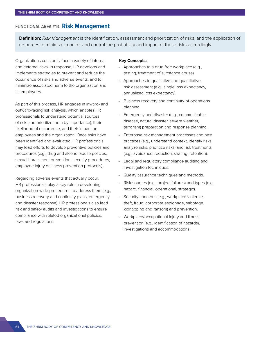## **FUNCTIONAL AREA #13: Risk Management**

**Definition:** *Risk Management* is the identification, assessment and prioritization of risks, and the application of resources to minimize, monitor and control the probability and impact of those risks accordingly.

Organizations constantly face a variety of internal and external risks. In response, HR develops and implements strategies to prevent and reduce the occurrence of risks and adverse events, and to minimize associated harm to the organization and its employees.

As part of this process, HR engages in inward- and outward-facing risk analysis, which enables HR professionals to understand potential sources of risk (and prioritize them by importance), their likelihood of occurrence, and their impact on employees and the organization. Once risks have been identified and evaluated, HR professionals may lead efforts to develop preventive policies and procedures (e.g., drug and alcohol abuse policies, sexual harassment prevention, security procedures, employee injury or illness prevention protocols).

Regarding adverse events that actually occur, HR professionals play a key role in developing organization-wide procedures to address them (e.g., business recovery and continuity plans, emergency and disaster response). HR professionals also lead risk and safety audits and investigations to ensure compliance with related organizational policies, laws and regulations.

- Approaches to a drug-free workplace (e.g., testing, treatment of substance abuse).
- Approaches to qualitative and quantitative risk assessment (e.g., single loss expectancy, annualized loss expectancy).
- Business recovery and continuity-of-operations planning.
- Emergency and disaster (e.g., communicable disease, natural disaster, severe weather, terrorism) preparation and response planning.
- Enterprise risk management processes and best practices (e.g., understand context, identify risks, analyze risks, prioritize risks) and risk treatments (e.g., avoidance, reduction, sharing, retention).
- Legal and regulatory compliance auditing and investigation techniques.
- Quality assurance techniques and methods.
- Risk sources (e.g., project failures) and types (e.g., hazard, financial, operational, strategic).
- Security concerns (e.g., workplace violence, theft, fraud, corporate espionage, sabotage, kidnapping and ransom) and prevention.
- Workplace/occupational injury and illness prevention (e.g., identification of hazards), investigations and accommodations.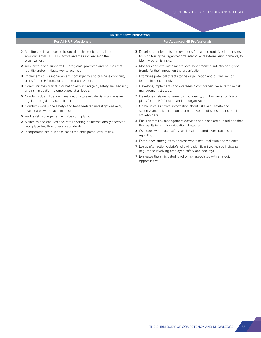| <b>PROFICIENCY INDICATORS</b>                                               |                                                                                                                                  |
|-----------------------------------------------------------------------------|----------------------------------------------------------------------------------------------------------------------------------|
| <b>For All HR Professionals</b>                                             | <b>For Advanced HR Professionals</b>                                                                                             |
| > Monitors political, economic, social, technological, legal and            | > Develops, implements and oversees formal and routinized processes                                                              |
| environmental (PESTLE) factors and their influence on the                   | for monitoring the organization's internal and external environments, to                                                         |
| organization.                                                               | identify potential risks.                                                                                                        |
| > Administers and supports HR programs, practices and policies that         | > Monitors and evaluates macro-level labor market, industry and global                                                           |
| identify and/or mitigate workplace risk.                                    | trends for their impact on the organization.                                                                                     |
| > Implements crisis management, contingency and business continuity         | > Examines potential threats to the organization and quides senior                                                               |
| plans for the HR function and the organization.                             | leadership accordingly.                                                                                                          |
| > Communicates critical information about risks (e.g., safety and security) | > Develops, implements and oversees a comprehensive enterprise risk                                                              |
| and risk mitigation to employees at all levels.                             | management strategy.                                                                                                             |
| > Conducts due diligence investigations to evaluate risks and ensure        | > Develops crisis management, contingency, and business continuity                                                               |
| legal and regulatory compliance.                                            | plans for the HR function and the organization.                                                                                  |
| > Conducts workplace safety- and health-related investigations (e.g.,       | > Communicates critical information about risks (e.g., safety and                                                                |
| investigates workplace injuries).                                           | security) and risk mitigation to senior-level employees and external                                                             |
| > Audits risk management activities and plans.                              | stakeholders.                                                                                                                    |
| > Maintains and ensures accurate reporting of internationally accepted      | > Ensures that risk management activities and plans are audited and that                                                         |
| workplace health and safety standards.                                      | the results inform risk mitigation strategies.                                                                                   |
| > Incorporates into business cases the anticipated level of risk.           | > Oversees workplace safety- and health-related investigations and<br>reporting.                                                 |
|                                                                             | > Establishes strategies to address workplace retaliation and violence.                                                          |
|                                                                             | > Leads after-action debriefs following significant workplace incidents<br>(e.g., those involving employee safety and security). |
|                                                                             | > Evaluates the anticipated level of risk associated with strategic                                                              |

opportunities.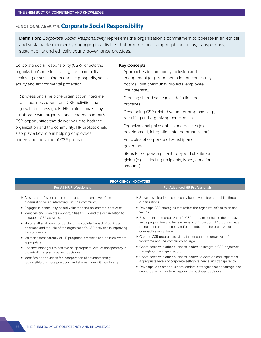## **FUNCTIONAL AREA #14: Corporate Social Responsibility**

**Definition:** *Corporate Social Responsibility* represents the organization's commitment to operate in an ethical and sustainable manner by engaging in activities that promote and support philanthropy, transparency, sustainability and ethically sound governance practices.

Corporate social responsibility (CSR) reflects the organization's role in assisting the community in achieving or sustaining economic prosperity, social equity and environmental protection.

HR professionals help the organization integrate into its business operations CSR activities that align with business goals. HR professionals may collaborate with organizational leaders to identify CSR opportunities that deliver value to both the organization and the community. HR professionals also play a key role in helping employees understand the value of CSR programs.

- Approaches to community inclusion and engagement (e.g., representation on community boards, joint community projects, employee volunteerism).
- Creating shared value (e.g., definition, best practices).
- Developing CSR-related volunteer programs (e.g., recruiting and organizing participants).
- Organizational philosophies and policies (e.g., development, integration into the organization).
- Principles of corporate citizenship and governance.
- Steps for corporate philanthropy and charitable giving (e.g., selecting recipients, types, donation amounts).

| <b>PROFICIENCY INDICATORS</b>                                            |                                                                                                                                   |
|--------------------------------------------------------------------------|-----------------------------------------------------------------------------------------------------------------------------------|
| <b>For All HR Professionals</b>                                          | <b>For Advanced HR Professionals</b>                                                                                              |
| >> Acts as a professional role model and representative of the           | > Serves as a leader in community-based volunteer and philanthropic                                                               |
| organization when interacting with the community.                        | organizations.                                                                                                                    |
| > Engages in community-based volunteer and philanthropic activities.     | > Develops CSR strategies that reflect the organization's mission and                                                             |
| > Identifies and promotes opportunities for HR and the organization to   | values.                                                                                                                           |
| engage in CSR activities.                                                | > Ensures that the organization's CSR programs enhance the employee                                                               |
| > Helps staff at all levels understand the societal impact of business   | value proposition and have a beneficial impact on HR programs (e.g.,                                                              |
| decisions and the role of the organization's CSR activities in improving | recruitment and retention) and/or contribute to the organization's                                                                |
| the community.                                                           | competitive advantage.                                                                                                            |
| > Maintains transparency of HR programs, practices and policies, where   | > Creates CSR program activities that engage the organization's                                                                   |
| appropriate.                                                             | workforce and the community at large.                                                                                             |
| > Coaches managers to achieve an appropriate level of transparency in    | > Coordinates with other business leaders to integrate CSR objectives                                                             |
| organizational practices and decisions.                                  | throughout the organization.                                                                                                      |
| > Identifies opportunities for incorporation of environmentally          | > Coordinates with other business leaders to develop and implement                                                                |
| responsible business practices, and shares them with leadership.         | appropriate levels of corporate self-governance and transparency.                                                                 |
|                                                                          | > Develops, with other business leaders, strategies that encourage and<br>support environmentally responsible business decisions. |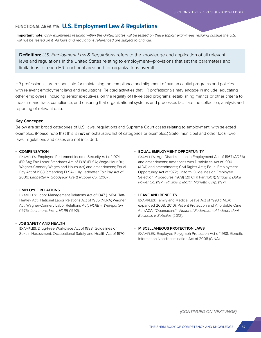## **FUNCTIONAL AREA #15: U.S. Employment Law & Regulations**

**Important note:** *Only examinees residing within the United States will be tested on these topics; examinees residing outside the U.S. will not be tested on it. All laws and regulations referenced are subject to change.*

**Definition:** *U.S. Employment Law & Regulations* refers to the knowledge and application of all relevant laws and regulations in the United States relating to employment—provisions that set the parameters and limitations for each HR functional area and for organizations overall.

HR professionals are responsible for maintaining the compliance and alignment of human capital programs and policies with relevant employment laws and regulations. Related activities that HR professionals may engage in include: educating other employees, including senior executives, on the legality of HR-related programs; establishing metrics or other criteria to measure and track compliance; and ensuring that organizational systems and processes facilitate the collection, analysis and reporting of relevant data.

#### **Key Concepts:**

Below are six broad categories of U.S. laws, regulations and Supreme Court cases relating to employment, with selected examples. (Please note that this is **not** an exhaustive list of categories or examples.) State, municipal and other local-level laws, regulations and cases are not included.

#### **• COMPENSATION**

EXAMPLES: Employee Retirement Income Security Act of 1974 (ERISA); Fair Labor Standards Act of 1938 (FLSA; Wage-Hour Bill; Wagner-Connery Wages and Hours Act) and amendments; Equal Pay Act of 1963 (amending FLSA); Lilly Ledbetter Fair Pay Act of 2009; *Ledbetter v. Goodyear Tire & Rubber Co.* (2007).

#### **• EMPLOYEE RELATIONS**

EXAMPLES: Labor Management Relations Act of 1947 (LMRA; Taft-Hartley Act); National Labor Relations Act of 1935 (NLRA; Wagner Act; Wagner-Connery Labor Relations Act); *NLRB v. Weingarten* (1975); *Lechmere, Inc. v. NLRB* (1992).

#### **• JOB SAFETY AND HEALTH**

EXAMPLES: Drug-Free Workplace Act of 1988; Guidelines on Sexual Harassment; Occupational Safety and Health Act of 1970.

#### **• EQUAL EMPLOYMENT OPPORTUNITY**

EXAMPLES: Age Discrimination in Employment Act of 1967 (ADEA) and amendments; Americans with Disabilities Act of 1990 (ADA) and amendments; Civil Rights Acts; Equal Employment Opportunity Act of 1972; Uniform Guidelines on Employee Selection Procedures (1978) (29 CFR Part 1607); *Griggs v. Duke Power Co.* (1971); *Phillips v. Martin Marietta Corp.* (1971).

#### **• LEAVE AND BENEFITS**

EXAMPLES: Family and Medical Leave Act of 1993 (FMLA; expanded 2008, 2010); Patient Protection and Affordable Care Act (ACA; "Obamacare"); *National Federation of Independent Business v. Sebelius* (2012).

**• MISCELLANEOUS PROTECTION LAWS** EXAMPLES: Employee Polygraph Protection Act of 1988; Genetic Information Nondiscrimination Act of 2008 (GINA).

(CONTINUED ON NEXT PAGE)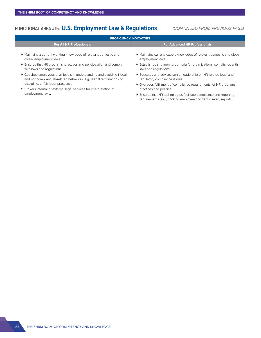## **FUNCTIONAL AREA #15: U.S. Employment Law & Regulations** (CONTINUED FROM PREVIOUS PAGE)

| <b>PROFICIENCY INDICATORS</b>                                                                                                                                                                                                                                                                                                                                                                                                                                                          |                                                                                                                                                                                                                                                                                                                                                                                                                                                                                                                                               |
|----------------------------------------------------------------------------------------------------------------------------------------------------------------------------------------------------------------------------------------------------------------------------------------------------------------------------------------------------------------------------------------------------------------------------------------------------------------------------------------|-----------------------------------------------------------------------------------------------------------------------------------------------------------------------------------------------------------------------------------------------------------------------------------------------------------------------------------------------------------------------------------------------------------------------------------------------------------------------------------------------------------------------------------------------|
| <b>For All HR Professionals</b>                                                                                                                                                                                                                                                                                                                                                                                                                                                        | <b>For Advanced HR Professionals</b>                                                                                                                                                                                                                                                                                                                                                                                                                                                                                                          |
| > Maintains a current working knowledge of relevant domestic and<br>global employment laws.<br>> Ensures that HR programs, practices and policies align and comply<br>with laws and regulations.<br>> Coaches employees at all levels in understanding and avoiding illegal<br>and noncompliant HR-related behaviors (e.g., illegal terminations or<br>discipline, unfair labor practices).<br>> Brokers internal or external legal services for interpretation of<br>employment laws. | > Maintains current, expert knowledge of relevant domestic and global<br>employment laws.<br>> Establishes and monitors criteria for organizational compliance with<br>laws and regulations.<br>> Educates and advises senior leadership on HR-related legal and<br>regulatory compliance issues.<br>> Oversees fulfillment of compliance requirements for HR programs,<br>practices and policies.<br>> Ensures that HR technologies facilitate compliance and reporting<br>requirements (e.g., tracking employee accidents, safety reports). |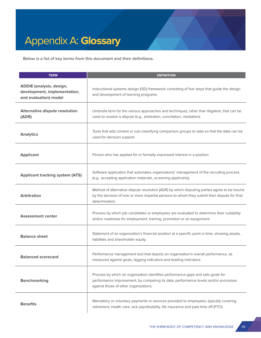

Appendix A: **Glossary**

**Below is a list of key terms from this document and their definitions.**

| <b>TERM</b>                                                                              | <b>DEFINITION</b>                                                                                                                                                                                               |
|------------------------------------------------------------------------------------------|-----------------------------------------------------------------------------------------------------------------------------------------------------------------------------------------------------------------|
| <b>ADDIE</b> (analysis, design,<br>development, implementation,<br>and evaluation) model | Instructional systems design (ISD) framework consisting of five steps that guide the design<br>and development of learning programs.                                                                            |
| <b>Alternative dispute resolution</b><br>(ADR)                                           | Umbrella term for the various approaches and techniques, other than litigation, that can be<br>used to resolve a dispute (e.g., arbitration, conciliation, mediation).                                          |
| <b>Analytics</b>                                                                         | Tools that add context or sub-classifying comparison groups to data so that the data can be<br>used for decision support.                                                                                       |
| <b>Applicant</b>                                                                         | Person who has applied for or formally expressed interest in a position.                                                                                                                                        |
| <b>Applicant tracking system (ATS)</b>                                                   | Software application that automates organizations' management of the recruiting process<br>(e.g., accepting application materials, screening applicants).                                                       |
| <b>Arbitration</b>                                                                       | Method of alternative dispute resolution (ADR) by which disputing parties agree to be bound<br>by the decision of one or more impartial persons to whom they submit their dispute for final<br>determination.   |
| <b>Assessment center</b>                                                                 | Process by which job candidates or employees are evaluated to determine their suitability<br>and/or readiness for employment, training, promotion or an assignment.                                             |
| <b>Balance sheet</b>                                                                     | Statement of an organization's financial position at a specific point in time, showing assets,<br>liabilities and shareholder equity.                                                                           |
| <b>Balanced scorecard</b>                                                                | Performance management tool that depicts an organization's overall performance, as<br>measured against goals, lagging indicators and leading indicators.                                                        |
| <b>Benchmarking</b>                                                                      | Process by which an organization identifies performance gaps and sets goals for<br>performance improvement, by comparing its data, performance levels and/or processes<br>against those of other organizations. |
| <b>Benefits</b>                                                                          | Mandatory or voluntary payments or services provided to employees, typically covering<br>retirement, health care, sick pay/disability, life insurance and paid time off (PTO).                                  |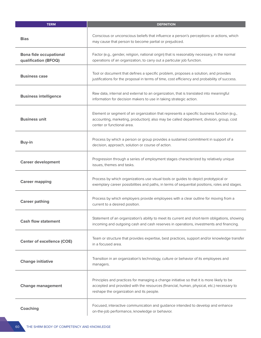| <b>TERM</b>                                           | <b>DEFINITION</b>                                                                                                                                                                                                                 |
|-------------------------------------------------------|-----------------------------------------------------------------------------------------------------------------------------------------------------------------------------------------------------------------------------------|
| <b>Bias</b>                                           | Conscious or unconscious beliefs that influence a person's perceptions or actions, which<br>may cause that person to become partial or prejudiced.                                                                                |
| <b>Bona fide occupational</b><br>qualification (BFOQ) | Factor (e.g., gender, religion, national origin) that is reasonably necessary, in the normal<br>operations of an organization, to carry out a particular job function.                                                            |
| <b>Business case</b>                                  | Tool or document that defines a specific problem, proposes a solution, and provides<br>justifications for the proposal in terms of time, cost efficiency and probability of success.                                              |
| <b>Business intelligence</b>                          | Raw data, internal and external to an organization, that is translated into meaningful<br>information for decision makers to use in taking strategic action.                                                                      |
| <b>Business unit</b>                                  | Element or segment of an organization that represents a specific business function (e.g.,<br>accounting, marketing, production); also may be called department, division, group, cost<br>center or functional area.               |
| <b>Buy-in</b>                                         | Process by which a person or group provides a sustained commitment in support of a<br>decision, approach, solution or course of action.                                                                                           |
| <b>Career development</b>                             | Progression through a series of employment stages characterized by relatively unique<br>issues, themes and tasks.                                                                                                                 |
| <b>Career mapping</b>                                 | Process by which organizations use visual tools or guides to depict prototypical or<br>exemplary career possibilities and paths, in terms of sequential positions, roles and stages.                                              |
| <b>Career pathing</b>                                 | Process by which employers provide employees with a clear outline for moving from a<br>current to a desired position.                                                                                                             |
| <b>Cash flow statement</b>                            | Statement of an organization's ability to meet its current and short-term obligations, showing<br>incoming and outgoing cash and cash reserves in operations, investments and financing.                                          |
| <b>Center of excellence (COE)</b>                     | Team or structure that provides expertise, best practices, support and/or knowledge transfer<br>in a focused area.                                                                                                                |
| <b>Change initiative</b>                              | Transition in an organization's technology, culture or behavior of its employees and<br>managers.                                                                                                                                 |
| <b>Change management</b>                              | Principles and practices for managing a change initiative so that it is more likely to be<br>accepted and provided with the resources (financial, human, physical, etc.) necessary to<br>reshape the organization and its people. |
| Coaching                                              | Focused, interactive communication and guidance intended to develop and enhance<br>on-the-job performance, knowledge or behavior.                                                                                                 |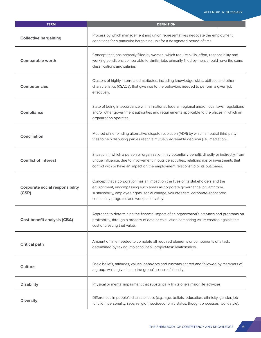| <b>TERM</b>                                     | <b>DEFINITION</b>                                                                                                                                                                                                                                                                                 |
|-------------------------------------------------|---------------------------------------------------------------------------------------------------------------------------------------------------------------------------------------------------------------------------------------------------------------------------------------------------|
| <b>Collective bargaining</b>                    | Process by which management and union representatives negotiate the employment<br>conditions for a particular bargaining unit for a designated period of time.                                                                                                                                    |
| <b>Comparable worth</b>                         | Concept that jobs primarily filled by women, which require skills, effort, responsibility and<br>working conditions comparable to similar jobs primarily filled by men, should have the same<br>classifications and salaries.                                                                     |
| <b>Competencies</b>                             | Clusters of highly interrelated attributes, including knowledge, skills, abilities and other<br>characteristics (KSAOs), that give rise to the behaviors needed to perform a given job<br>effectively.                                                                                            |
| <b>Compliance</b>                               | State of being in accordance with all national, federal, regional and/or local laws, regulations<br>and/or other government authorities and requirements applicable to the places in which an<br>organization operates.                                                                           |
| <b>Conciliation</b>                             | Method of nonbinding alternative dispute resolution (ADR) by which a neutral third party<br>tries to help disputing parties reach a mutually agreeable decision (i.e., mediation).                                                                                                                |
| <b>Conflict of interest</b>                     | Situation in which a person or organization may potentially benefit, directly or indirectly, from<br>undue influence, due to involvement in outside activities, relationships or investments that<br>conflict with or have an impact on the employment relationship or its outcomes.              |
| <b>Corporate social responsibility</b><br>(CSR) | Concept that a corporation has an impact on the lives of its stakeholders and the<br>environment, encompassing such areas as corporate governance, philanthropy,<br>sustainability, employee rights, social change, volunteerism, corporate-sponsored<br>community programs and workplace safety. |
| <b>Cost-benefit analysis (CBA)</b>              | Approach to determining the financial impact of an organization's activities and programs on<br>profitability, through a process of data or calculation comparing value created against the<br>cost of creating that value.                                                                       |
| <b>Critical path</b>                            | Amount of time needed to complete all required elements or components of a task,<br>determined by taking into account all project-task relationships.                                                                                                                                             |
| <b>Culture</b>                                  | Basic beliefs, attitudes, values, behaviors and customs shared and followed by members of<br>a group, which give rise to the group's sense of identity.                                                                                                                                           |
| <b>Disability</b>                               | Physical or mental impairment that substantially limits one's major life activities.                                                                                                                                                                                                              |
| <b>Diversity</b>                                | Differences in people's characteristics (e.g., age, beliefs, education, ethnicity, gender, job<br>function, personality, race, religion, socioeconomic status, thought processes, work style).                                                                                                    |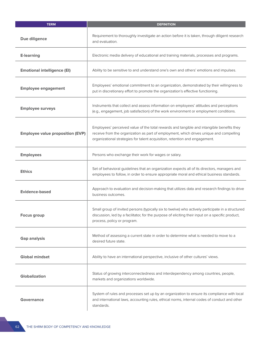| <b>TERM</b>                             | <b>DEFINITION</b>                                                                                                                                                                                                                                                   |
|-----------------------------------------|---------------------------------------------------------------------------------------------------------------------------------------------------------------------------------------------------------------------------------------------------------------------|
| Due diligence                           | Requirement to thoroughly investigate an action before it is taken, through diligent research<br>and evaluation.                                                                                                                                                    |
| <b>E-learning</b>                       | Electronic media delivery of educational and training materials, processes and programs.                                                                                                                                                                            |
| <b>Emotional intelligence (EI)</b>      | Ability to be sensitive to and understand one's own and others' emotions and impulses.                                                                                                                                                                              |
| <b>Employee engagement</b>              | Employees' emotional commitment to an organization, demonstrated by their willingness to<br>put in discretionary effort to promote the organization's effective functioning.                                                                                        |
| <b>Employee surveys</b>                 | Instruments that collect and assess information on employees' attitudes and perceptions<br>(e.g., engagement, job satisfaction) of the work environment or employment conditions.                                                                                   |
| <b>Employee value proposition (EVP)</b> | Employees' perceived value of the total rewards and tangible and intangible benefits they<br>receive from the organization as part of employment, which drives unique and compelling<br>organizational strategies for talent acquisition, retention and engagement. |
| <b>Employees</b>                        | Persons who exchange their work for wages or salary.                                                                                                                                                                                                                |
| <b>Ethics</b>                           | Set of behavioral guidelines that an organization expects all of its directors, managers and<br>employees to follow, in order to ensure appropriate moral and ethical business standards.                                                                           |
| <b>Evidence-based</b>                   | Approach to evaluation and decision-making that utilizes data and research findings to drive<br>business outcomes.                                                                                                                                                  |
| <b>Focus group</b>                      | Small group of invited persons (typically six to twelve) who actively participate in a structured<br>discussion, led by a facilitator, for the purpose of eliciting their input on a specific product,<br>process, policy or program.                               |
| <b>Gap analysis</b>                     | Method of assessing a current state in order to determine what is needed to move to a<br>desired future state.                                                                                                                                                      |
| <b>Global mindset</b>                   | Ability to have an international perspective, inclusive of other cultures' views.                                                                                                                                                                                   |
| <b>Globalization</b>                    | Status of growing interconnectedness and interdependency among countries, people,<br>markets and organizations worldwide.                                                                                                                                           |
| <b>Governance</b>                       | System of rules and processes set up by an organization to ensure its compliance with local<br>and international laws, accounting rules, ethical norms, internal codes of conduct and other<br>standards.                                                           |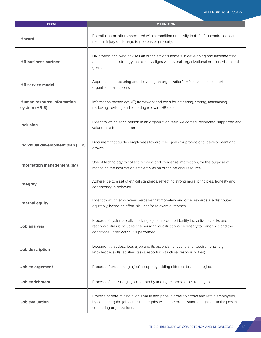| <b>TERM</b>                                        | <b>DEFINITION</b>                                                                                                                                                                                                               |
|----------------------------------------------------|---------------------------------------------------------------------------------------------------------------------------------------------------------------------------------------------------------------------------------|
| <b>Hazard</b>                                      | Potential harm, often associated with a condition or activity that, if left uncontrolled, can<br>result in injury or damage to persons or property.                                                                             |
| <b>HR business partner</b>                         | HR professional who advises an organization's leaders in developing and implementing<br>a human capital strategy that closely aligns with overall organizational mission, vision and<br>goals.                                  |
| <b>HR</b> service model                            | Approach to structuring and delivering an organization's HR services to support<br>organizational success.                                                                                                                      |
| <b>Human resource information</b><br>system (HRIS) | Information technology (IT) framework and tools for gathering, storing, maintaining,<br>retrieving, revising and reporting relevant HR data.                                                                                    |
| <b>Inclusion</b>                                   | Extent to which each person in an organization feels welcomed, respected, supported and<br>valued as a team member.                                                                                                             |
| Individual development plan (IDP)                  | Document that guides employees toward their goals for professional development and<br>growth.                                                                                                                                   |
| <b>Information management (IM)</b>                 | Use of technology to collect, process and condense information, for the purpose of<br>managing the information efficiently as an organizational resource.                                                                       |
| <b>Integrity</b>                                   | Adherence to a set of ethical standards, reflecting strong moral principles, honesty and<br>consistency in behavior.                                                                                                            |
| <b>Internal equity</b>                             | Extent to which employees perceive that monetary and other rewards are distributed<br>equitably, based on effort, skill and/or relevant outcomes.                                                                               |
| <b>Job analysis</b>                                | Process of systematically studying a job in order to identify the activities/tasks and<br>responsibilities it includes, the personal qualifications necessary to perform it, and the<br>conditions under which it is performed. |
| Job description                                    | Document that describes a job and its essential functions and requirements (e.g.,<br>knowledge, skills, abilities, tasks, reporting structure, responsibilities).                                                               |
| Job enlargement                                    | Process of broadening a job's scope by adding different tasks to the job.                                                                                                                                                       |
| Job enrichment                                     | Process of increasing a job's depth by adding responsibilities to the job.                                                                                                                                                      |
| Job evaluation                                     | Process of determining a job's value and price in order to attract and retain employees,<br>by comparing the job against other jobs within the organization or against similar jobs in<br>competing organizations.              |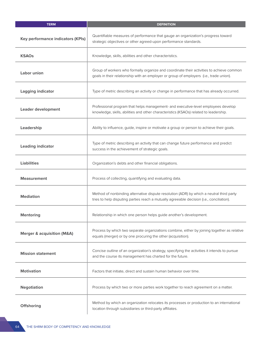| <b>TERM</b>                               | <b>DEFINITION</b>                                                                                                                                                                     |
|-------------------------------------------|---------------------------------------------------------------------------------------------------------------------------------------------------------------------------------------|
| <b>Key performance indicators (KPIs)</b>  | Quantifiable measures of performance that gauge an organization's progress toward<br>strategic objectives or other agreed-upon performance standards.                                 |
| <b>KSAOs</b>                              | Knowledge, skills, abilities and other characteristics.                                                                                                                               |
| Labor union                               | Group of workers who formally organize and coordinate their activities to achieve common<br>goals in their relationship with an employer or group of employers (i.e., trade union).   |
| <b>Lagging indicator</b>                  | Type of metric describing an activity or change in performance that has already occurred.                                                                                             |
| <b>Leader development</b>                 | Professional program that helps management- and executive-level employees develop<br>knowledge, skills, abilities and other characteristics (KSAOs) related to leadership.            |
| Leadership                                | Ability to influence, guide, inspire or motivate a group or person to achieve their goals.                                                                                            |
| <b>Leading indicator</b>                  | Type of metric describing an activity that can change future performance and predict<br>success in the achievement of strategic goals.                                                |
| <b>Liabilities</b>                        | Organization's debts and other financial obligations.                                                                                                                                 |
| <b>Measurement</b>                        | Process of collecting, quantifying and evaluating data.                                                                                                                               |
| <b>Mediation</b>                          | Method of nonbinding alternative dispute resolution (ADR) by which a neutral third party<br>tries to help disputing parties reach a mutually agreeable decision (i.e., conciliation). |
| <b>Mentoring</b>                          | Relationship in which one person helps guide another's development.                                                                                                                   |
| <b>Merger &amp; acquisition (M&amp;A)</b> | Process by which two separate organizations combine, either by joining together as relative<br>equals (merger) or by one procuring the other (acquisition).                           |
| <b>Mission statement</b>                  | Concise outline of an organization's strategy, specifying the activities it intends to pursue<br>and the course its management has charted for the future.                            |
| <b>Motivation</b>                         | Factors that initiate, direct and sustain human behavior over time.                                                                                                                   |
| <b>Negotiation</b>                        | Process by which two or more parties work together to reach agreement on a matter.                                                                                                    |
| <b>Offshoring</b>                         | Method by which an organization relocates its processes or production to an international<br>location through subsidiaries or third-party affiliates.                                 |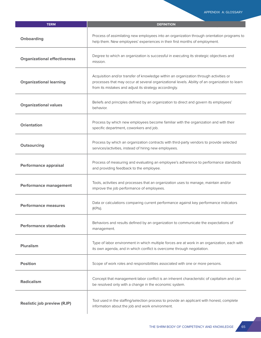| <b>TERM</b>                         | <b>DEFINITION</b>                                                                                                                                                                                                                                 |
|-------------------------------------|---------------------------------------------------------------------------------------------------------------------------------------------------------------------------------------------------------------------------------------------------|
| Onboarding                          | Process of assimilating new employees into an organization through orientation programs to<br>help them. New employees' experiences in their first months of employment.                                                                          |
| <b>Organizational effectiveness</b> | Degree to which an organization is successful in executing its strategic objectives and<br>mission.                                                                                                                                               |
| <b>Organizational learning</b>      | Acquisition and/or transfer of knowledge within an organization through activities or<br>processes that may occur at several organizational levels. Ability of an organization to learn<br>from its mistakes and adjust its strategy accordingly. |
| <b>Organizational values</b>        | Beliefs and principles defined by an organization to direct and govern its employees'<br>behavior.                                                                                                                                                |
| <b>Orientation</b>                  | Process by which new employees become familiar with the organization and with their<br>specific department, coworkers and job.                                                                                                                    |
| Outsourcing                         | Process by which an organization contracts with third-party vendors to provide selected<br>services/activities, instead of hiring new employees.                                                                                                  |
| <b>Performance appraisal</b>        | Process of measuring and evaluating an employee's adherence to performance standards<br>and providing feedback to the employee.                                                                                                                   |
| <b>Performance management</b>       | Tools, activities and processes that an organization uses to manage, maintain and/or<br>improve the job performance of employees.                                                                                                                 |
| <b>Performance measures</b>         | Data or calculations comparing current performance against key performance indicators<br>(KPIs).                                                                                                                                                  |
| <b>Performance standards</b>        | Behaviors and results defined by an organization to communicate the expectations of<br>management.                                                                                                                                                |
| <b>Pluralism</b>                    | Type of labor environment in which multiple forces are at work in an organization, each with<br>its own agenda, and in which conflict is overcome through negotiation.                                                                            |
| <b>Position</b>                     | Scope of work roles and responsibilities associated with one or more persons.                                                                                                                                                                     |
| <b>Radicalism</b>                   | Concept that management-labor conflict is an inherent characteristic of capitalism and can<br>be resolved only with a change in the economic system.                                                                                              |
| <b>Realistic job preview (RJP)</b>  | Tool used in the staffing/selection process to provide an applicant with honest, complete<br>information about the job and work environment.                                                                                                      |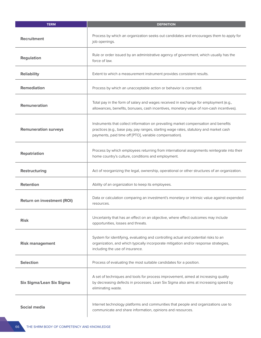| <b>TERM</b>                       | <b>DEFINITION</b>                                                                                                                                                                                                                      |
|-----------------------------------|----------------------------------------------------------------------------------------------------------------------------------------------------------------------------------------------------------------------------------------|
| <b>Recruitment</b>                | Process by which an organization seeks out candidates and encourages them to apply for<br>job openings.                                                                                                                                |
| <b>Regulation</b>                 | Rule or order issued by an administrative agency of government, which usually has the<br>force of law.                                                                                                                                 |
| <b>Reliability</b>                | Extent to which a measurement instrument provides consistent results.                                                                                                                                                                  |
| <b>Remediation</b>                | Process by which an unacceptable action or behavior is corrected.                                                                                                                                                                      |
| <b>Remuneration</b>               | Total pay in the form of salary and wages received in exchange for employment (e.g.,<br>allowances, benefits, bonuses, cash incentives, monetary value of non-cash incentives).                                                        |
| <b>Remuneration surveys</b>       | Instruments that collect information on prevailing market compensation and benefits<br>practices (e.g., base pay, pay ranges, starting wage rates, statutory and market cash<br>payments, paid time off [PTO], variable compensation). |
| <b>Repatriation</b>               | Process by which employees returning from international assignments reintegrate into their<br>home country's culture, conditions and employment.                                                                                       |
| <b>Restructuring</b>              | Act of reorganizing the legal, ownership, operational or other structures of an organization.                                                                                                                                          |
| <b>Retention</b>                  | Ability of an organization to keep its employees.                                                                                                                                                                                      |
| <b>Return on investment (ROI)</b> | Data or calculation comparing an investment's monetary or intrinsic value against expended<br>resources.                                                                                                                               |
| <b>Risk</b>                       | Uncertainty that has an effect on an objective, where effect outcomes may include<br>opportunities, losses and threats.                                                                                                                |
| <b>Risk management</b>            | System for identifying, evaluating and controlling actual and potential risks to an<br>organization, and which typically incorporate mitigation and/or response strategies,<br>including the use of insurance.                         |
| <b>Selection</b>                  | Process of evaluating the most suitable candidates for a position.                                                                                                                                                                     |
| <b>Six Sigma/Lean Six Sigma</b>   | A set of techniques and tools for process improvement, aimed at increasing quality<br>by decreasing defects in processes. Lean Six Sigma also aims at increasing speed by<br>eliminating waste.                                        |
| <b>Social media</b>               | Internet technology platforms and communities that people and organizations use to<br>communicate and share information, opinions and resources.                                                                                       |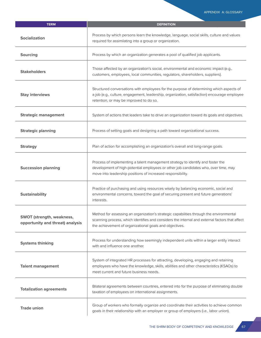| <b>TERM</b>                                                          | <b>DEFINITION</b>                                                                                                                                                                                                                                    |
|----------------------------------------------------------------------|------------------------------------------------------------------------------------------------------------------------------------------------------------------------------------------------------------------------------------------------------|
| <b>Socialization</b>                                                 | Process by which persons learn the knowledge, language, social skills, culture and values<br>required for assimilating into a group or organization.                                                                                                 |
| Sourcing                                                             | Process by which an organization generates a pool of qualified job applicants.                                                                                                                                                                       |
| <b>Stakeholders</b>                                                  | Those affected by an organization's social, environmental and economic impact (e.g.,<br>customers, employees, local communities, regulators, shareholders, suppliers).                                                                               |
| <b>Stay interviews</b>                                               | Structured conversations with employees for the purpose of determining which aspects of<br>a job (e.g., culture, engagement, leadership, organization, satisfaction) encourage employee<br>retention, or may be improved to do so.                   |
| <b>Strategic management</b>                                          | System of actions that leaders take to drive an organization toward its goals and objectives.                                                                                                                                                        |
| <b>Strategic planning</b>                                            | Process of setting goals and designing a path toward organizational success.                                                                                                                                                                         |
| <b>Strategy</b>                                                      | Plan of action for accomplishing an organization's overall and long-range goals.                                                                                                                                                                     |
| <b>Succession planning</b>                                           | Process of implementing a talent management strategy to identify and foster the<br>development of high-potential employees or other job candidates who, over time, may<br>move into leadership positions of increased responsibility.                |
| <b>Sustainability</b>                                                | Practice of purchasing and using resources wisely by balancing economic, social and<br>environmental concerns, toward the goal of securing present and future generations'<br>interests.                                                             |
| <b>SWOT (strength, weakness,</b><br>opportunity and threat) analysis | Method for assessing an organization's strategic capabilities through the environmental<br>scanning process, which identifies and considers the internal and external factors that affect<br>the achievement of organizational goals and objectives. |
| <b>Systems thinking</b>                                              | Process for understanding how seemingly independent units within a larger entity interact<br>with and influence one another.                                                                                                                         |
| <b>Talent management</b>                                             | System of integrated HR processes for attracting, developing, engaging and retaining<br>employees who have the knowledge, skills, abilities and other characteristics (KSAOs) to<br>meet current and future business needs.                          |
| <b>Totalization agreements</b>                                       | Bilateral agreements between countries, entered into for the purpose of eliminating double<br>taxation of employees on international assignments.                                                                                                    |
| <b>Trade union</b>                                                   | Group of workers who formally organize and coordinate their activities to achieve common<br>goals in their relationship with an employer or group of employers (i.e., labor union).                                                                  |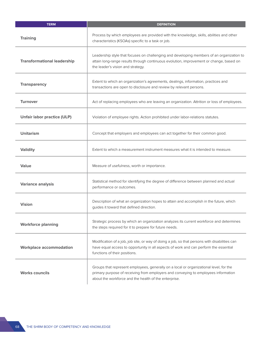| <b>TERM</b>                        | <b>DEFINITION</b>                                                                                                                                                                                                                     |
|------------------------------------|---------------------------------------------------------------------------------------------------------------------------------------------------------------------------------------------------------------------------------------|
| <b>Training</b>                    | Process by which employees are provided with the knowledge, skills, abilities and other<br>characteristics (KSOAs) specific to a task or job.                                                                                         |
| <b>Transformational leadership</b> | Leadership style that focuses on challenging and developing members of an organization to<br>attain long-range results through continuous evolution, improvement or change, based on<br>the leader's vision and strategy.             |
| <b>Transparency</b>                | Extent to which an organization's agreements, dealings, information, practices and<br>transactions are open to disclosure and review by relevant persons.                                                                             |
| <b>Turnover</b>                    | Act of replacing employees who are leaving an organization. Attrition or loss of employees.                                                                                                                                           |
| <b>Unfair labor practice (ULP)</b> | Violation of employee rights. Action prohibited under labor-relations statutes.                                                                                                                                                       |
| <b>Unitarism</b>                   | Concept that employers and employees can act together for their common good.                                                                                                                                                          |
| <b>Validity</b>                    | Extent to which a measurement instrument measures what it is intended to measure.                                                                                                                                                     |
| <b>Value</b>                       | Measure of usefulness, worth or importance.                                                                                                                                                                                           |
| <b>Variance analysis</b>           | Statistical method for identifying the degree of difference between planned and actual<br>performance or outcomes.                                                                                                                    |
| <b>Vision</b>                      | Description of what an organization hopes to attain and accomplish in the future, which<br>guides it toward that defined direction.                                                                                                   |
| <b>Workforce planning</b>          | Strategic process by which an organization analyzes its current workforce and determines<br>the steps required for it to prepare for future needs.                                                                                    |
| <b>Workplace accommodation</b>     | Modification of a job, job site, or way of doing a job, so that persons with disabilities can<br>have equal access to opportunity in all aspects of work and can perform the essential<br>functions of their positions.               |
| <b>Works councils</b>              | Groups that represent employees, generally on a local or organizational level, for the<br>primary purpose of receiving from employers and conveying to employees information<br>about the workforce and the health of the enterprise. |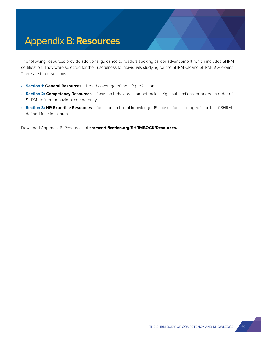## Appendix B: **Resources**

The following resources provide additional guidance to readers seeking career advancement, which includes SHRM certification. They were selected for their usefulness to individuals studying for the SHRM-CP and SHRM-SCP exams. There are three sections:

- **• Section 1: General Resources** broad coverage of the HR profession.
- **• Section 2: Competency Resources** focus on behavioral competencies; eight subsections, arranged in order of SHRM-defined behavioral competency.
- **• Section 3: HR Expertise Resources** focus on technical knowledge; 15 subsections, arranged in order of SHRMdefined functional area.

Download Appendix B: Resources at **shrmcertification.org/SHRMBOCK/Resources.**